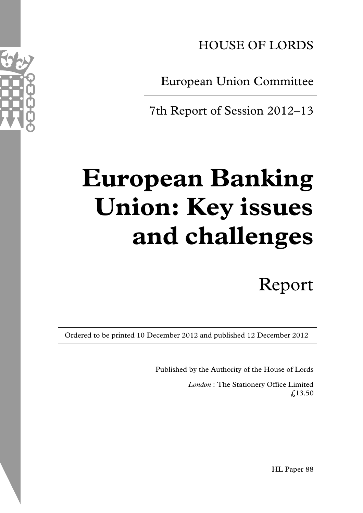HOUSE OF LORDS

European Union Committee

7th Report of Session 2012–13

# **European Banking Union: Key issues and challenges**

Report

Ordered to be printed 10 December 2012 and published 12 December 2012

Published by the Authority of the House of Lords

*London* : The Stationery Office Limited  $£13.50$ 



HL Paper 88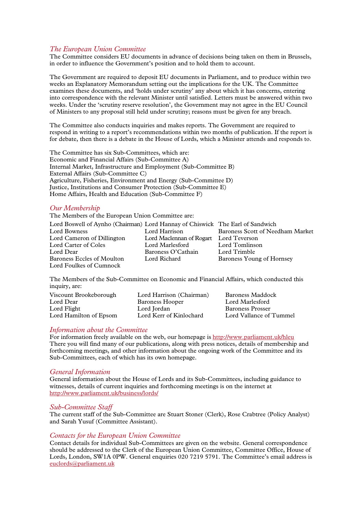#### *The European Union Committee*

The Committee considers EU documents in advance of decisions being taken on them in Brussels, in order to influence the Government's position and to hold them to account.

The Government are required to deposit EU documents in Parliament, and to produce within two weeks an Explanatory Memorandum setting out the implications for the UK. The Committee examines these documents, and 'holds under scrutiny' any about which it has concerns, entering into correspondence with the relevant Minister until satisfied. Letters must be answered within two weeks. Under the 'scrutiny reserve resolution', the Government may not agree in the EU Council of Ministers to any proposal still held under scrutiny; reasons must be given for any breach.

The Committee also conducts inquiries and makes reports. The Government are required to respond in writing to a report's recommendations within two months of publication. If the report is for debate, then there is a debate in the House of Lords, which a Minister attends and responds to.

The Committee has six Sub-Committees, which are: Economic and Financial Affairs (Sub-Committee A) Internal Market, Infrastructure and Employment (Sub-Committee B) External Affairs (Sub-Committee C) Agriculture, Fisheries, Environment and Energy (Sub-Committee D) Justice, Institutions and Consumer Protection (Sub-Committee E) Home Affairs, Health and Education (Sub-Committee F)

#### *Our Membership*

The Members of the European Union Committee are:

| Lord Boswell of Aynho (Chairman) Lord Hannay of Chiswick The Earl of Sandwich |                                        |                                  |
|-------------------------------------------------------------------------------|----------------------------------------|----------------------------------|
| Lord Bowness                                                                  | Lord Harrison                          | Baroness Scott of Needham Market |
| Lord Cameron of Dillington                                                    | Lord Maclennan of Rogart Lord Teverson |                                  |
| Lord Carter of Coles                                                          | Lord Marlesford                        | Lord Tomlinson                   |
| Lord Dear                                                                     | Baroness O'Cathain                     | Lord Trimble                     |
| Baroness Eccles of Moulton                                                    | Lord Richard                           | Baroness Young of Hornsey        |
| Lord Foulkes of Cumnock                                                       |                                        |                                  |

The Members of the Sub-Committee on Economic and Financial Affairs, which conducted this inquiry, are:

| Viscount Brookeborough | Lord Harrison (Chairman) | Baroness Maddock        |
|------------------------|--------------------------|-------------------------|
| Lord Dear              | Baroness Hooper          | Lord Marlesford         |
| Lord Flight            | Lord Jordan              | <b>Baroness Prosser</b> |
| Lord Hamilton of Epsom | Lord Kerr of Kinlochard  | Lord Vallance of Tummel |

#### *Information about the Committee*

For information freely available on the web, our homepage is http://www.parliament.uk/hleu There you will find many of our publications, along with press notices, details of membership and forthcoming meetings, and other information about the ongoing work of the Committee and its Sub-Committees, each of which has its own homepage.

#### *General Information*

General information about the House of Lords and its Sub-Committees, including guidance to witnesses, details of current inquiries and forthcoming meetings is on the internet at http://www.parliament.uk/business/lords/

#### *Sub-Committee Staff*

The current staff of the Sub-Committee are Stuart Stoner (Clerk), Rose Crabtree (Policy Analyst) and Sarah Yusuf (Committee Assistant).

#### *Contacts for the European Union Committee*

Contact details for individual Sub-Committees are given on the website. General correspondence should be addressed to the Clerk of the European Union Committee, Committee Office, House of Lords, London, SW1A 0PW. General enquiries 020 7219 5791. The Committee's email address is euclords@parliament.uk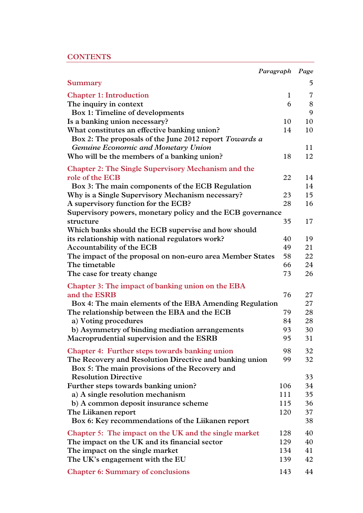|                                                                                                        | Paragraph    | Page           |
|--------------------------------------------------------------------------------------------------------|--------------|----------------|
| <b>Summary</b>                                                                                         |              | 5              |
| <b>Chapter 1: Introduction</b>                                                                         | $\mathbf{1}$ | $\overline{7}$ |
| The inquiry in context                                                                                 | 6            | 8              |
| Box 1: Timeline of developments                                                                        |              | 9              |
| Is a banking union necessary?                                                                          | 10           | 10             |
| What constitutes an effective banking union?<br>Box 2: The proposals of the June 2012 report Towards a | 14           | 10             |
| Genuine Economic and Monetary Union                                                                    |              | 11             |
| Who will be the members of a banking union?                                                            | 18           | 12             |
| <b>Chapter 2: The Single Supervisory Mechanism and the</b>                                             |              |                |
| role of the ECB                                                                                        | 22           | 14             |
| Box 3: The main components of the ECB Regulation                                                       |              | 14             |
| Why is a Single Supervisory Mechanism necessary?                                                       | 23           | 15             |
| A supervisory function for the ECB?                                                                    | 28           | 16             |
| Supervisory powers, monetary policy and the ECB governance                                             |              |                |
| structure                                                                                              | 35           | 17             |
| Which banks should the ECB supervise and how should                                                    |              |                |
| its relationship with national regulators work?                                                        | 40           | 19             |
| Accountability of the ECB                                                                              | 49           | 21             |
| The impact of the proposal on non-euro area Member States                                              | 58           | 22             |
| The timetable                                                                                          | 66           | 24             |
| The case for treaty change                                                                             | 73           | 26             |
| Chapter 3: The impact of banking union on the EBA                                                      |              |                |
| and the ESRB                                                                                           | 76           | 27             |
| Box 4: The main elements of the EBA Amending Regulation                                                |              | 27             |
| The relationship between the EBA and the ECB                                                           | 79           | 28             |
| a) Voting procedures                                                                                   | 84           | 28             |
| b) Asymmetry of binding mediation arrangements                                                         | 93           | 30             |
| Macroprudential supervision and the ESRB                                                               | 95           | 31             |
| Chapter 4: Further steps towards banking union                                                         | 98           | 32             |
| The Recovery and Resolution Directive and banking union                                                | 99           | 32             |
| Box 5: The main provisions of the Recovery and                                                         |              |                |
| <b>Resolution Directive</b>                                                                            |              | 33             |
| Further steps towards banking union?                                                                   | 106          | 34             |
| a) A single resolution mechanism                                                                       | 111          | 35             |
| b) A common deposit insurance scheme                                                                   | 115          | 36             |
| The Liikanen report                                                                                    | 120          | 37             |
| Box 6: Key recommendations of the Liikanen report                                                      |              | 38             |
| Chapter 5: The impact on the UK and the single market                                                  | 128          | 40             |
| The impact on the UK and its financial sector                                                          | 129          | 40             |
| The impact on the single market                                                                        | 134          | 41             |
| The UK's engagement with the EU                                                                        | 139          | 42             |
| <b>Chapter 6: Summary of conclusions</b>                                                               | 143          | 44             |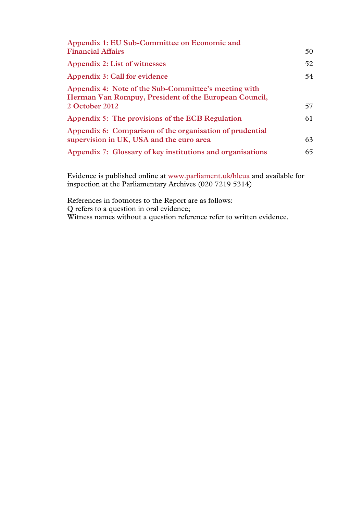| Appendix 1: EU Sub-Committee on Economic and                                                                  |    |
|---------------------------------------------------------------------------------------------------------------|----|
| <b>Financial Affairs</b>                                                                                      | 50 |
| Appendix 2: List of witnesses                                                                                 | 52 |
| Appendix 3: Call for evidence                                                                                 | 54 |
| Appendix 4: Note of the Sub-Committee's meeting with<br>Herman Van Rompuy, President of the European Council, |    |
| 2 October 2012                                                                                                | 57 |
| Appendix 5: The provisions of the ECB Regulation                                                              | 61 |
| Appendix 6: Comparison of the organisation of prudential                                                      |    |
| supervision in UK, USA and the euro area                                                                      | 63 |
| Appendix 7: Glossary of key institutions and organisations                                                    | 65 |
|                                                                                                               |    |

Evidence is published online at www.parliament.uk/hleua and available for inspection at the Parliamentary Archives (020 7219 5314)

References in footnotes to the Report are as follows: Q refers to a question in oral evidence; Witness names without a question reference refer to written evidence.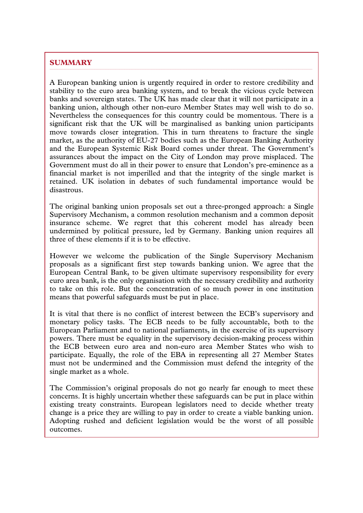# **SUMMARY**

A European banking union is urgently required in order to restore credibility and stability to the euro area banking system, and to break the vicious cycle between banks and sovereign states. The UK has made clear that it will not participate in a banking union, although other non-euro Member States may well wish to do so. Nevertheless the consequences for this country could be momentous. There is a significant risk that the UK will be marginalised as banking union participants move towards closer integration. This in turn threatens to fracture the single market, as the authority of EU-27 bodies such as the European Banking Authority and the European Systemic Risk Board comes under threat. The Government's assurances about the impact on the City of London may prove misplaced. The Government must do all in their power to ensure that London's pre-eminence as a financial market is not imperilled and that the integrity of the single market is retained. UK isolation in debates of such fundamental importance would be disastrous.

\_\_\_\_\_\_\_\_\_\_\_\_\_\_\_\_\_\_\_\_\_\_\_\_\_\_\_\_\_\_\_\_\_\_\_\_\_\_\_\_\_\_\_\_\_\_\_\_\_\_\_\_\_\_\_\_\_\_\_\_\_\_\_\_\_\_\_\_\_\_\_\_\_\_\_\_\_\_\_\_\_\_\_\_\_\_\_\_\_\_\_\_\_\_\_\_\_\_\_\_\_\_\_\_\_\_\_\_\_\_\_\_\_\_\_\_\_\_\_\_\_\_\_\_\_\_\_\_\_\_\_\_\_\_\_\_\_\_\_\_\_\_\_\_\_\_\_\_\_\_\_\_\_\_\_\_\_\_\_\_\_\_\_\_\_\_\_\_\_\_\_\_\_\_\_\_\_\_\_\_\_\_\_\_\_\_\_\_\_\_\_\_\_\_\_\_\_\_\_\_\_\_\_\_\_\_\_\_\_\_\_

The original banking union proposals set out a three-pronged approach: a Single Supervisory Mechanism, a common resolution mechanism and a common deposit insurance scheme. We regret that this coherent model has already been undermined by political pressure, led by Germany. Banking union requires all three of these elements if it is to be effective.

However we welcome the publication of the Single Supervisory Mechanism proposals as a significant first step towards banking union. We agree that the European Central Bank, to be given ultimate supervisory responsibility for every euro area bank, is the only organisation with the necessary credibility and authority to take on this role. But the concentration of so much power in one institution means that powerful safeguards must be put in place.

It is vital that there is no conflict of interest between the ECB's supervisory and monetary policy tasks. The ECB needs to be fully accountable, both to the European Parliament and to national parliaments, in the exercise of its supervisory powers. There must be equality in the supervisory decision-making process within the ECB between euro area and non-euro area Member States who wish to participate. Equally, the role of the EBA in representing all 27 Member States must not be undermined and the Commission must defend the integrity of the single market as a whole.

The Commission's original proposals do not go nearly far enough to meet these concerns. It is highly uncertain whether these safeguards can be put in place within existing treaty constraints. European legislators need to decide whether treaty change is a price they are willing to pay in order to create a viable banking union. Adopting rushed and deficient legislation would be the worst of all possible outcomes.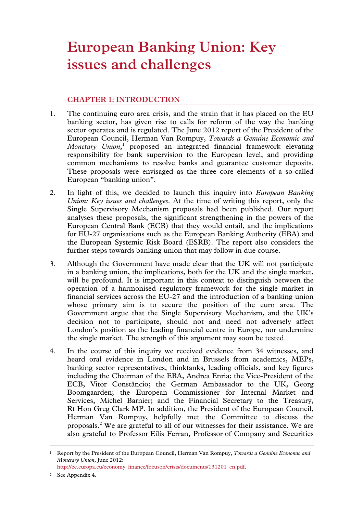# **European Banking Union: Key issues and challenges**

# **CHAPTER 1: INTRODUCTION**

- 1. The continuing euro area crisis, and the strain that it has placed on the EU banking sector, has given rise to calls for reform of the way the banking sector operates and is regulated. The June 2012 report of the President of the European Council, Herman Van Rompuy, *Towards a Genuine Economic and*  Monetary Union,<sup>1</sup> proposed an integrated financial framework elevating responsibility for bank supervision to the European level, and providing common mechanisms to resolve banks and guarantee customer deposits. These proposals were envisaged as the three core elements of a so-called European "banking union".
- 2. In light of this, we decided to launch this inquiry into *European Banking Union: Key issues and challenges*. At the time of writing this report, only the Single Supervisory Mechanism proposals had been published. Our report analyses these proposals, the significant strengthening in the powers of the European Central Bank (ECB) that they would entail, and the implications for EU-27 organisations such as the European Banking Authority (EBA) and the European Systemic Risk Board (ESRB). The report also considers the further steps towards banking union that may follow in due course.
- 3. Although the Government have made clear that the UK will not participate in a banking union, the implications, both for the UK and the single market, will be profound. It is important in this context to distinguish between the operation of a harmonised regulatory framework for the single market in financial services across the EU-27 and the introduction of a banking union whose primary aim is to secure the position of the euro area. The Government argue that the Single Supervisory Mechanism, and the UK's decision not to participate, should not and need not adversely affect London's position as the leading financial centre in Europe, nor undermine the single market. The strength of this argument may soon be tested.
- 4. In the course of this inquiry we received evidence from 34 witnesses, and heard oral evidence in London and in Brussels from academics, MEPs, banking sector representatives, thinktanks, leading officials, and key figures including the Chairman of the EBA, Andrea Enria; the Vice-President of the ECB, Vitor Constâncio; the German Ambassador to the UK, Georg Boomgaarden; the European Commissioner for Internal Market and Services, Michel Barnier; and the Financial Secretary to the Treasury, Rt Hon Greg Clark MP. In addition, the President of the European Council, Herman Van Rompuy, helpfully met the Committee to discuss the proposals.<sup>2</sup> We are grateful to all of our witnesses for their assistance. We are also grateful to Professor Eilís Ferran, Professor of Company and Securities

2 See Appendix 4.

 <sup>1</sup> Report by the President of the European Council, Herman Van Rompuy, *Towards a Genuine Economic and Monetary Union*, June 2012: http://ec.europa.eu/economy\_finance/focuson/crisis/documents/131201\_en.pdf.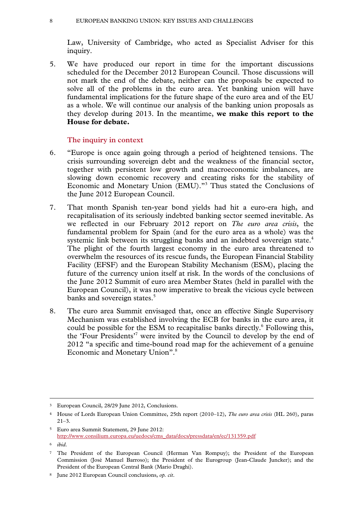Law, University of Cambridge, who acted as Specialist Adviser for this inquiry.

5. We have produced our report in time for the important discussions scheduled for the December 2012 European Council. Those discussions will not mark the end of the debate, neither can the proposals be expected to solve all of the problems in the euro area. Yet banking union will have fundamental implications for the future shape of the euro area and of the EU as a whole. We will continue our analysis of the banking union proposals as they develop during 2013. In the meantime, **we make this report to the House for debate.** 

# **The inquiry in context**

- 6. "Europe is once again going through a period of heightened tensions. The crisis surrounding sovereign debt and the weakness of the financial sector, together with persistent low growth and macroeconomic imbalances, are slowing down economic recovery and creating risks for the stability of Economic and Monetary Union (EMU)."3 Thus stated the Conclusions of the June 2012 European Council.
- 7. That month Spanish ten-year bond yields had hit a euro-era high, and recapitalisation of its seriously indebted banking sector seemed inevitable. As we reflected in our February 2012 report on *The euro area crisis*, the fundamental problem for Spain (and for the euro area as a whole) was the systemic link between its struggling banks and an indebted sovereign state.<sup>4</sup> The plight of the fourth largest economy in the euro area threatened to overwhelm the resources of its rescue funds, the European Financial Stability Facility (EFSF) and the European Stability Mechanism (ESM), placing the future of the currency union itself at risk. In the words of the conclusions of the June 2012 Summit of euro area Member States (held in parallel with the European Council), it was now imperative to break the vicious cycle between banks and sovereign states.<sup>5</sup>
- 8. The euro area Summit envisaged that, once an effective Single Supervisory Mechanism was established involving the ECB for banks in the euro area, it could be possible for the ESM to recapitalise banks directly.<sup>6</sup> Following this, the 'Four Presidents'7 were invited by the Council to develop by the end of 2012 "a specific and time-bound road map for the achievement of a genuine Economic and Monetary Union".<sup>8</sup>

 <sup>3</sup> European Council, 28/29 June 2012, Conclusions.

<sup>4</sup> House of Lords European Union Committee, 25th report (2010–12), *The euro area crisis* (HL 260)*,* paras 21–3*.* 

<sup>5</sup> Euro area Summit Statement, 29 June 2012: http://www.consilium.europa.eu/uedocs/cms\_data/docs/pressdata/en/ec/131359.pdf

<sup>6</sup> *ibid*.

<sup>7</sup> The President of the European Council (Herman Van Rompuy); the President of the European Commission (José Manuel Barroso); the President of the Eurogroup (Jean-Claude Juncker); and the President of the European Central Bank (Mario Draghi).

<sup>8</sup> June 2012 European Council conclusions, *op. cit*.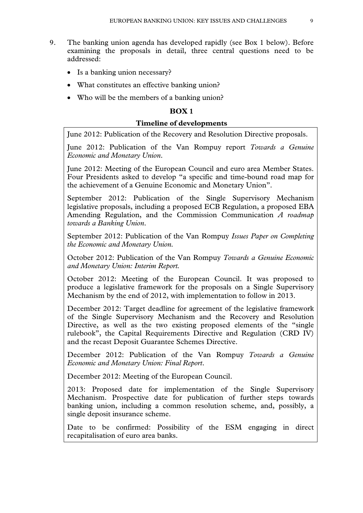- 9. The banking union agenda has developed rapidly (see Box 1 below). Before examining the proposals in detail, three central questions need to be addressed:
	- Is a banking union necessary?
	- What constitutes an effective banking union?
	- Who will be the members of a banking union?

# **BOX 1**

#### **Timeline of developments**

June 2012: Publication of the Recovery and Resolution Directive proposals.

June 2012: Publication of the Van Rompuy report *Towards a Genuine Economic and Monetary Union*.

June 2012: Meeting of the European Council and euro area Member States. Four Presidents asked to develop "a specific and time-bound road map for the achievement of a Genuine Economic and Monetary Union".

September 2012: Publication of the Single Supervisory Mechanism legislative proposals, including a proposed ECB Regulation, a proposed EBA Amending Regulation, and the Commission Communication *A roadmap towards a Banking Union*.

September 2012: Publication of the Van Rompuy *Issues Paper on Completing the Economic and Monetary Union.*

October 2012: Publication of the Van Rompuy *Towards a Genuine Economic and Monetary Union: Interim Report.*

October 2012: Meeting of the European Council. It was proposed to produce a legislative framework for the proposals on a Single Supervisory Mechanism by the end of 2012, with implementation to follow in 2013.

December 2012: Target deadline for agreement of the legislative framework of the Single Supervisory Mechanism and the Recovery and Resolution Directive, as well as the two existing proposed elements of the "single rulebook", the Capital Requirements Directive and Regulation (CRD IV) and the recast Deposit Guarantee Schemes Directive.

December 2012: Publication of the Van Rompuy *Towards a Genuine Economic and Monetary Union: Final Report*.

December 2012: Meeting of the European Council.

2013: Proposed date for implementation of the Single Supervisory Mechanism. Prospective date for publication of further steps towards banking union, including a common resolution scheme, and, possibly, a single deposit insurance scheme.

Date to be confirmed: Possibility of the ESM engaging in direct recapitalisation of euro area banks.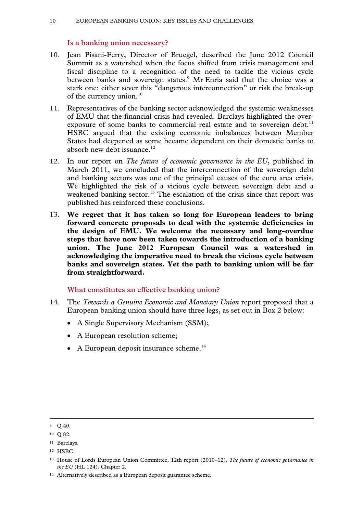# **Is a banking union necessary?**

- 10. Jean Pisani-Ferry, Director of Bruegel, described the June 2012 Council Summit as a watershed when the focus shifted from crisis management and fiscal discipline to a recognition of the need to tackle the vicious cycle between banks and sovereign states.<sup>9</sup> Mr Enria said that the choice was a stark one: either sever this "dangerous interconnection" or risk the break-up of the currency union.<sup>10</sup>
- 11. Representatives of the banking sector acknowledged the systemic weaknesses of EMU that the financial crisis had revealed. Barclays highlighted the overexposure of some banks to commercial real estate and to sovereign debt.<sup>11</sup> HSBC argued that the existing economic imbalances between Member States had deepened as some became dependent on their domestic banks to absorb new debt issuance.<sup>12</sup>
- 12. In our report on *The future of economic governance in the EU*, published in March 2011, we concluded that the interconnection of the sovereign debt and banking sectors was one of the principal causes of the euro area crisis. We highlighted the risk of a vicious cycle between sovereign debt and a weakened banking sector.<sup>13</sup> The escalation of the crisis since that report was published has reinforced these conclusions.
- 13. **We regret that it has taken so long for European leaders to bring forward concrete proposals to deal with the systemic deficiencies in the design of EMU. We welcome the necessary and long-overdue steps that have now been taken towards the introduction of a banking union. The June 2012 European Council was a watershed in acknowledging the imperative need to break the vicious cycle between banks and sovereign states. Yet the path to banking union will be far from straightforward.**

# **What constitutes an effective banking union?**

- 14. The *Towards a Genuine Economic and Monetary Union* report proposed that a European banking union should have three legs, as set out in Box 2 below:
	- A Single Supervisory Mechanism (SSM);
	- A European resolution scheme;
	- $\bullet$  A European deposit insurance scheme.<sup>14</sup>

 $9$  O 40.

<sup>10</sup> Q 82.

<sup>11</sup> Barclays.

<sup>12</sup> HSBC.

<sup>13</sup> House of Lords European Union Committee, 12th report (2010–12), *The future of economic governance in the EU* (HL 124), Chapter 2.

<sup>14</sup> Alternatively described as a European deposit guarantee scheme.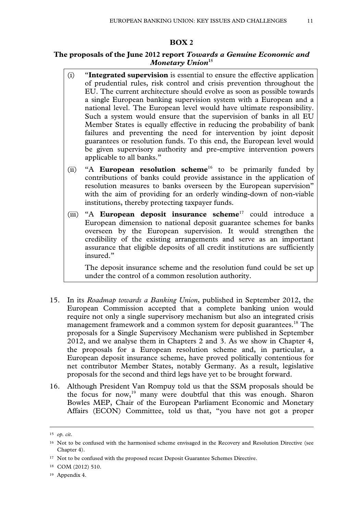#### **BOX 2**

# **The proposals of the June 2012 report** *Towards a Genuine Economic and Monetary Union***<sup>15</sup>**

- (i) "**Integrated supervision** is essential to ensure the effective application of prudential rules, risk control and crisis prevention throughout the EU. The current architecture should evolve as soon as possible towards a single European banking supervision system with a European and a national level. The European level would have ultimate responsibility. Such a system would ensure that the supervision of banks in all EU Member States is equally effective in reducing the probability of bank failures and preventing the need for intervention by joint deposit guarantees or resolution funds. To this end, the European level would be given supervisory authority and pre-emptive intervention powers applicable to all banks."
- (ii) "A **European resolution scheme**<sup>16</sup> to be primarily funded by contributions of banks could provide assistance in the application of resolution measures to banks overseen by the European supervision" with the aim of providing for an orderly winding-down of non-viable institutions, thereby protecting taxpayer funds.
- (iii) "A **European deposit insurance scheme**17 could introduce a European dimension to national deposit guarantee schemes for banks overseen by the European supervision. It would strengthen the credibility of the existing arrangements and serve as an important assurance that eligible deposits of all credit institutions are sufficiently insured."

The deposit insurance scheme and the resolution fund could be set up under the control of a common resolution authority.

- 15. In its *Roadmap towards a Banking Union*, published in September 2012, the European Commission accepted that a complete banking union would require not only a single supervisory mechanism but also an integrated crisis management framework and a common system for deposit guarantees.<sup>18</sup> The proposals for a Single Supervisory Mechanism were published in September 2012, and we analyse them in Chapters 2 and 3. As we show in Chapter 4, the proposals for a European resolution scheme and, in particular, a European deposit insurance scheme, have proved politically contentious for net contributor Member States, notably Germany. As a result, legislative proposals for the second and third legs have yet to be brought forward.
- 16. Although President Van Rompuy told us that the SSM proposals should be the focus for now,<sup>19</sup> many were doubtful that this was enough. Sharon Bowles MEP, Chair of the European Parliament Economic and Monetary Affairs (ECON) Committee, told us that, "you have not got a proper

 <sup>15</sup> *op. cit*.

<sup>16</sup> Not to be confused with the harmonised scheme envisaged in the Recovery and Resolution Directive (see Chapter 4).

<sup>&</sup>lt;sup>17</sup> Not to be confused with the proposed recast Deposit Guarantee Schemes Directive.

<sup>18</sup> COM (2012) 510.

<sup>19</sup> Appendix 4.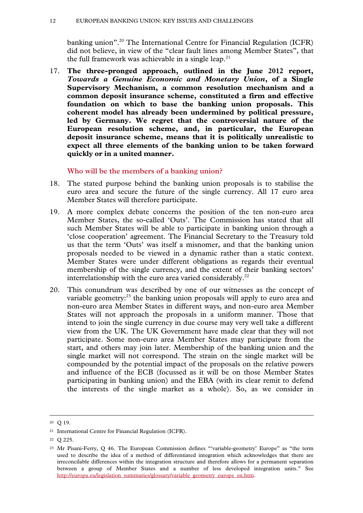banking union".<sup>20</sup> The International Centre for Financial Regulation (ICFR) did not believe, in view of the "clear fault lines among Member States", that the full framework was achievable in a single leap.<sup>21</sup>

17. **The three-pronged approach, outlined in the June 2012 report,**  *Towards a Genuine Economic and Monetary Union***, of a Single Supervisory Mechanism, a common resolution mechanism and a common deposit insurance scheme, constituted a firm and effective foundation on which to base the banking union proposals. This coherent model has already been undermined by political pressure, led by Germany. We regret that the controversial nature of the European resolution scheme, and, in particular, the European deposit insurance scheme, means that it is politically unrealistic to expect all three elements of the banking union to be taken forward quickly or in a united manner.** 

**Who will be the members of a banking union?** 

- 18. The stated purpose behind the banking union proposals is to stabilise the euro area and secure the future of the single currency. All 17 euro area Member States will therefore participate.
- 19. A more complex debate concerns the position of the ten non-euro area Member States, the so-called 'Outs'. The Commission has stated that all such Member States will be able to participate in banking union through a 'close cooperation' agreement. The Financial Secretary to the Treasury told us that the term 'Outs' was itself a misnomer, and that the banking union proposals needed to be viewed in a dynamic rather than a static context. Member States were under different obligations as regards their eventual membership of the single currency, and the extent of their banking sectors' interrelationship with the euro area varied considerably. $^{22}$
- 20. This conundrum was described by one of our witnesses as the concept of variable geometry:<sup>23</sup> the banking union proposals will apply to euro area and non-euro area Member States in different ways, and non-euro area Member States will not approach the proposals in a uniform manner. Those that intend to join the single currency in due course may very well take a different view from the UK. The UK Government have made clear that they will not participate. Some non-euro area Member States may participate from the start, and others may join later. Membership of the banking union and the single market will not correspond. The strain on the single market will be compounded by the potential impact of the proposals on the relative powers and influence of the ECB (focussed as it will be on those Member States participating in banking union) and the EBA (with its clear remit to defend the interests of the single market as a whole). So, as we consider in

 <sup>20</sup> Q 19.

<sup>21</sup> International Centre for Financial Regulation (ICFR).

<sup>22</sup> Q 225.

<sup>23</sup> Mr Pisani-Ferry, Q 46. The European Commission defines "'variable-geometry' Europe" as "the term used to describe the idea of a method of differentiated integration which acknowledges that there are irreconcilable differences within the integration structure and therefore allows for a permanent separation between a group of Member States and a number of less developed integration units." See http://europa.eu/legislation\_summaries/glossary/variable\_geometry\_europe\_en.htm.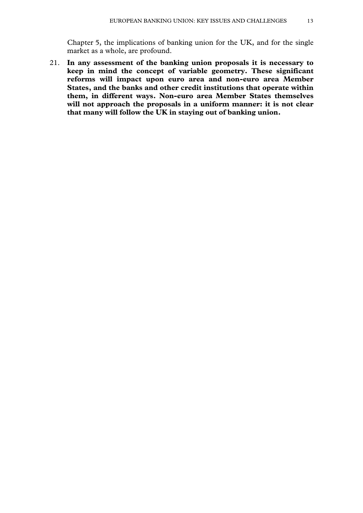Chapter 5, the implications of banking union for the UK, and for the single market as a whole, are profound.

21. **In any assessment of the banking union proposals it is necessary to keep in mind the concept of variable geometry. These significant reforms will impact upon euro area and non-euro area Member States, and the banks and other credit institutions that operate within them, in different ways. Non-euro area Member States themselves will not approach the proposals in a uniform manner: it is not clear that many will follow the UK in staying out of banking union.**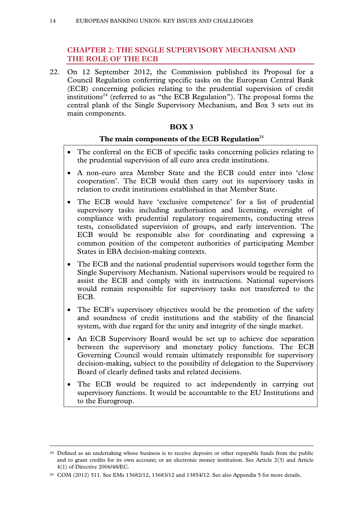# **CHAPTER 2: THE SINGLE SUPERVISORY MECHANISM AND THE ROLE OF THE ECB**

22. On 12 September 2012, the Commission published its Proposal for a Council Regulation conferring specific tasks on the European Central Bank (ECB) concerning policies relating to the prudential supervision of credit institutions<sup>24</sup> (referred to as "the ECB Regulation"). The proposal forms the central plank of the Single Supervisory Mechanism, and Box 3 sets out its main components.

# **BOX 3**

# The main components of the ECB Regulation<sup>25</sup>

- The conferral on the ECB of specific tasks concerning policies relating to the prudential supervision of all euro area credit institutions.
- A non-euro area Member State and the ECB could enter into 'close cooperation'. The ECB would then carry out its supervisory tasks in relation to credit institutions established in that Member State.
- The ECB would have 'exclusive competence' for a list of prudential supervisory tasks including authorisation and licensing, oversight of compliance with prudential regulatory requirements, conducting stress tests, consolidated supervision of groups, and early intervention. The ECB would be responsible also for coordinating and expressing a common position of the competent authorities of participating Member States in EBA decision-making contexts.
- The ECB and the national prudential supervisors would together form the Single Supervisory Mechanism. National supervisors would be required to assist the ECB and comply with its instructions. National supervisors would remain responsible for supervisory tasks not transferred to the ECB.
- The ECB's supervisory objectives would be the promotion of the safety and soundness of credit institutions and the stability of the financial system, with due regard for the unity and integrity of the single market.
- An ECB Supervisory Board would be set up to achieve due separation between the supervisory and monetary policy functions. The ECB Governing Council would remain ultimately responsible for supervisory decision-making, subject to the possibility of delegation to the Supervisory Board of clearly defined tasks and related decisions.
- The ECB would be required to act independently in carrying out supervisory functions. It would be accountable to the EU Institutions and to the Eurogroup.

<sup>&</sup>lt;sup>24</sup> Defined as an undertaking whose business is to receive deposits or other repayable funds from the public and to grant credits for its own account; or an electronic money institution. See Article 2(3) and Article 4(1) of Directive 2006/48/EC.

<sup>25</sup> COM (2012) 511. See EMs 13682/12, 13683/12 and 13854/12. See also Appendix 5 for more details.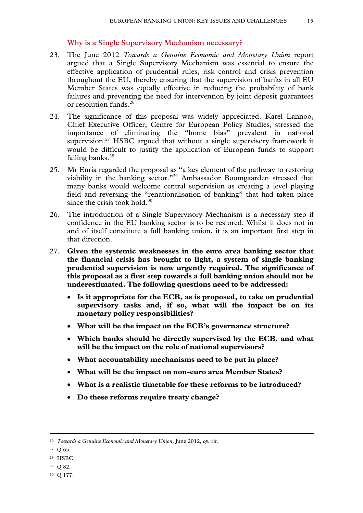#### **Why is a Single Supervisory Mechanism necessary?**

- 23. The June 2012 *Towards a Genuine Economic and Monetary Union* report argued that a Single Supervisory Mechanism was essential to ensure the effective application of prudential rules, risk control and crisis prevention throughout the EU, thereby ensuring that the supervision of banks in all EU Member States was equally effective in reducing the probability of bank failures and preventing the need for intervention by joint deposit guarantees or resolution funds.<sup>26</sup>
- 24. The significance of this proposal was widely appreciated. Karel Lannoo, Chief Executive Officer, Centre for European Policy Studies, stressed the importance of eliminating the "home bias" prevalent in national supervision.<sup>27</sup> HSBC argued that without a single supervisory framework it would be difficult to justify the application of European funds to support failing banks.<sup>28</sup>
- 25. Mr Enria regarded the proposal as "a key element of the pathway to restoring viability in the banking sector."29 Ambassador Boomgaarden stressed that many banks would welcome central supervision as creating a level playing field and reversing the "renationalisation of banking" that had taken place since the crisis took hold. $30$
- 26. The introduction of a Single Supervisory Mechanism is a necessary step if confidence in the EU banking sector is to be restored. Whilst it does not in and of itself constitute a full banking union, it is an important first step in that direction.
- 27. **Given the systemic weaknesses in the euro area banking sector that the financial crisis has brought to light, a system of single banking prudential supervision is now urgently required. The significance of this proposal as a first step towards a full banking union should not be underestimated. The following questions need to be addressed:** 
	- **Is it appropriate for the ECB, as is proposed, to take on prudential supervisory tasks and, if so, what will the impact be on its monetary policy responsibilities?**
	- **What will be the impact on the ECB's governance structure?**
	- **Which banks should be directly supervised by the ECB, and what will be the impact on the role of national supervisors?**
	- **What accountability mechanisms need to be put in place?**
	- **What will be the impact on non-euro area Member States?**
	- **What is a realistic timetable for these reforms to be introduced?**
	- **Do these reforms require treaty change?**

- 28 HSBC.
- 29 Q 82.
- 30 Q 177.

 <sup>26</sup> *Towards a Genuine Economic and Monetary Union*, June 2012, *op. cit*.

<sup>27</sup> Q 65.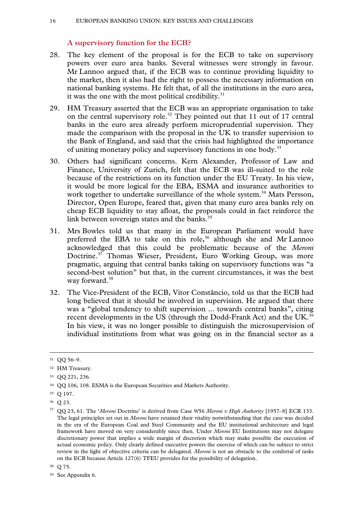# **A supervisory function for the ECB?**

- 28. The key element of the proposal is for the ECB to take on supervisory powers over euro area banks. Several witnesses were strongly in favour. Mr Lannoo argued that, if the ECB was to continue providing liquidity to the market, then it also had the right to possess the necessary information on national banking systems. He felt that, of all the institutions in the euro area, it was the one with the most political credibility. $31$
- 29. HM Treasury asserted that the ECB was an appropriate organisation to take on the central supervisory role.<sup>32</sup> They pointed out that 11 out of 17 central banks in the euro area already perform microprudential supervision. They made the comparison with the proposal in the UK to transfer supervision to the Bank of England, and said that the crisis had highlighted the importance of uniting monetary policy and supervisory functions in one body.33
- 30. Others had significant concerns. Kern Alexander, Professor of Law and Finance, University of Zurich, felt that the ECB was ill-suited to the role because of the restrictions on its function under the EU Treaty. In his view, it would be more logical for the EBA, ESMA and insurance authorities to work together to undertake surveillance of the whole system.<sup>34</sup> Mats Persson, Director, Open Europe, feared that, given that many euro area banks rely on cheap ECB liquidity to stay afloat, the proposals could in fact reinforce the link between sovereign states and the banks.<sup>35</sup>
- 31. Mrs Bowles told us that many in the European Parliament would have preferred the EBA to take on this role,<sup>36</sup> although she and Mr Lannoo acknowledged that this could be problematic because of the *Meroni* Doctrine.<sup>37</sup> Thomas Wieser, President, Euro Working Group, was more pragmatic, arguing that central banks taking on supervisory functions was "a second-best solution" but that, in the current circumstances, it was the best way forward.<sup>38</sup>
- 32. The Vice-President of the ECB, Vitor Constâncio, told us that the ECB had long believed that it should be involved in supervision. He argued that there was a "global tendency to shift supervision ... towards central banks", citing recent developments in the US (through the Dodd-Frank Act) and the UK.<sup>39</sup> In his view, it was no longer possible to distinguish the microsupervision of individual institutions from what was going on in the financial sector as a

 <sup>31</sup> QQ 56–9.

<sup>32</sup> HM Treasury.

<sup>33</sup> QQ 221, 236.

<sup>34</sup> QQ 106, 108. ESMA is the European Securities and Markets Authority.

<sup>35</sup> Q 197.

<sup>36</sup> Q 23.

<sup>37</sup> QQ 23, 61. The '*Meroni* Doctrine' is derived from Case 9/56 *Meroni v High Authority* [1957–8] ECR 133. The legal principles set out in *Meroni* have retained their vitality notwithstanding that the case was decided in the era of the European Coal and Steel Community and the EU institutional architecture and legal framework have moved on very considerably since then. Under *Meroni* EU Institutions may not delegate discretionary power that implies a wide margin of discretion which may make possible the execution of actual economic policy. Only clearly defined executive powers the exercise of which can be subject to strict review in the light of objective criteria can be delegated. *Meroni* is not an obstacle to the conferral of tasks on the ECB because Article 127(6) TFEU provides for the possibility of delegation.

<sup>38</sup> Q 75.

<sup>39</sup> See Appendix 6.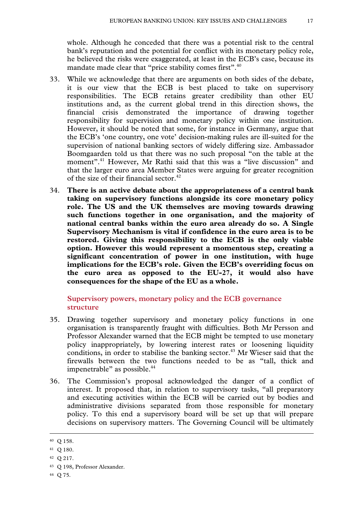whole. Although he conceded that there was a potential risk to the central bank's reputation and the potential for conflict with its monetary policy role, he believed the risks were exaggerated, at least in the ECB's case, because its mandate made clear that "price stability comes first".<sup>40</sup>

- 33. While we acknowledge that there are arguments on both sides of the debate, it is our view that the ECB is best placed to take on supervisory responsibilities. The ECB retains greater credibility than other EU institutions and, as the current global trend in this direction shows, the financial crisis demonstrated the importance of drawing together responsibility for supervision and monetary policy within one institution. However, it should be noted that some, for instance in Germany, argue that the ECB's 'one country, one vote' decision-making rules are ill-suited for the supervision of national banking sectors of widely differing size. Ambassador Boomgaarden told us that there was no such proposal "on the table at the moment".<sup>41</sup> However, Mr Rathi said that this was a "live discussion" and that the larger euro area Member States were arguing for greater recognition of the size of their financial sector.<sup>42</sup>
- 34. **There is an active debate about the appropriateness of a central bank taking on supervisory functions alongside its core monetary policy role. The US and the UK themselves are moving towards drawing such functions together in one organisation, and the majority of national central banks within the euro area already do so. A Single Supervisory Mechanism is vital if confidence in the euro area is to be restored. Giving this responsibility to the ECB is the only viable option. However this would represent a momentous step, creating a significant concentration of power in one institution, with huge implications for the ECB's role. Given the ECB's overriding focus on the euro area as opposed to the EU-27, it would also have consequences for the shape of the EU as a whole.**

# **Supervisory powers, monetary policy and the ECB governance structure**

- 35. Drawing together supervisory and monetary policy functions in one organisation is transparently fraught with difficulties. Both Mr Persson and Professor Alexander warned that the ECB might be tempted to use monetary policy inappropriately, by lowering interest rates or loosening liquidity conditions, in order to stabilise the banking sector.<sup>43</sup> Mr Wieser said that the firewalls between the two functions needed to be as "tall, thick and impenetrable" as possible.<sup>44</sup>
- 36. The Commission's proposal acknowledged the danger of a conflict of interest. It proposed that, in relation to supervisory tasks, "all preparatory and executing activities within the ECB will be carried out by bodies and administrative divisions separated from those responsible for monetary policy. To this end a supervisory board will be set up that will prepare decisions on supervisory matters. The Governing Council will be ultimately

 <sup>40</sup> Q 158.

<sup>41</sup> Q 180.

<sup>42</sup> Q 217.

<sup>43</sup> Q 198, Professor Alexander.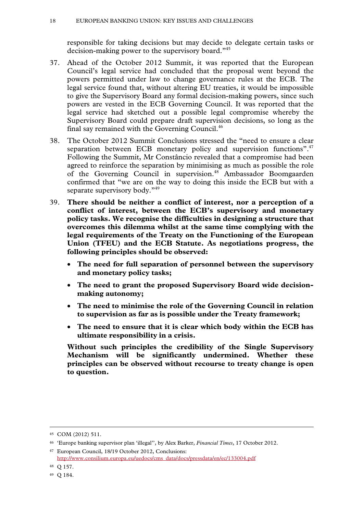responsible for taking decisions but may decide to delegate certain tasks or decision-making power to the supervisory board."45

- 37. Ahead of the October 2012 Summit, it was reported that the European Council's legal service had concluded that the proposal went beyond the powers permitted under law to change governance rules at the ECB. The legal service found that, without altering EU treaties, it would be impossible to give the Supervisory Board any formal decision-making powers, since such powers are vested in the ECB Governing Council. It was reported that the legal service had sketched out a possible legal compromise whereby the Supervisory Board could prepare draft supervision decisions, so long as the final say remained with the Governing Council.<sup>46</sup>
- 38. The October 2012 Summit Conclusions stressed the "need to ensure a clear separation between ECB monetary policy and supervision functions".<sup>47</sup> Following the Summit, Mr Constâncio revealed that a compromise had been agreed to reinforce the separation by minimising as much as possible the role of the Governing Council in supervision.<sup>48</sup> Ambassador Boomgaarden confirmed that "we are on the way to doing this inside the ECB but with a separate supervisory body."<sup>49</sup>
- 39. **There should be neither a conflict of interest, nor a perception of a conflict of interest, between the ECB's supervisory and monetary policy tasks. We recognise the difficulties in designing a structure that overcomes this dilemma whilst at the same time complying with the legal requirements of the Treaty on the Functioning of the European Union (TFEU) and the ECB Statute. As negotiations progress, the following principles should be observed:** 
	- **The need for full separation of personnel between the supervisory and monetary policy tasks;**
	- **The need to grant the proposed Supervisory Board wide decisionmaking autonomy;**
	- **The need to minimise the role of the Governing Council in relation to supervision as far as is possible under the Treaty framework;**
	- **The need to ensure that it is clear which body within the ECB has ultimate responsibility in a crisis.**

**Without such principles the credibility of the Single Supervisory Mechanism will be significantly undermined. Whether these principles can be observed without recourse to treaty change is open to question.** 

 <sup>45</sup> COM (2012) 511.

<sup>46 &#</sup>x27;Europe banking supervisor plan 'illegal'', by Alex Barker, *Financial Times*, 17 October 2012.

<sup>47</sup> European Council, 18/19 October 2012, Conclusions: http://www.consilium.europa.eu/uedocs/cms\_data/docs/pressdata/en/ec/133004.pdf

<sup>48</sup> Q 157.

<sup>49</sup> Q 184.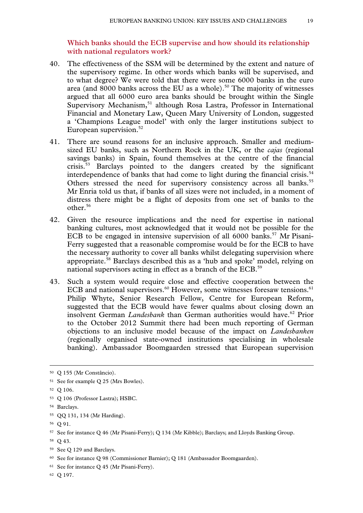**Which banks should the ECB supervise and how should its relationship with national regulators work?** 

- 40. The effectiveness of the SSM will be determined by the extent and nature of the supervisory regime. In other words which banks will be supervised, and to what degree? We were told that there were some 6000 banks in the euro area (and  $8000$  banks across the EU as a whole).<sup>50</sup> The majority of witnesses argued that all 6000 euro area banks should be brought within the Single Supervisory Mechanism,<sup>51</sup> although Rosa Lastra, Professor in International Financial and Monetary Law, Queen Mary University of London, suggested a 'Champions League model' with only the larger institutions subject to European supervision. $52$
- 41. There are sound reasons for an inclusive approach. Smaller and mediumsized EU banks, such as Northern Rock in the UK, or the *cajas* (regional savings banks) in Spain, found themselves at the centre of the financial crisis.53 Barclays pointed to the dangers created by the significant interdependence of banks that had come to light during the financial crisis.<sup>54</sup> Others stressed the need for supervisory consistency across all banks.<sup>55</sup> Mr Enria told us that, if banks of all sizes were not included, in a moment of distress there might be a flight of deposits from one set of banks to the other.56
- 42. Given the resource implications and the need for expertise in national banking cultures, most acknowledged that it would not be possible for the ECB to be engaged in intensive supervision of all  $6000$  banks.<sup>57</sup> Mr Pisani-Ferry suggested that a reasonable compromise would be for the ECB to have the necessary authority to cover all banks whilst delegating supervision where appropriate.58 Barclays described this as a 'hub and spoke' model, relying on national supervisors acting in effect as a branch of the ECB.<sup>59</sup>
- 43. Such a system would require close and effective cooperation between the ECB and national supervisors. $60$  However, some witnesses foresaw tensions. $61$ Philip Whyte, Senior Research Fellow, Centre for European Reform, suggested that the ECB would have fewer qualms about closing down an insolvent German *Landesbank* than German authorities would have.62 Prior to the October 2012 Summit there had been much reporting of German objections to an inclusive model because of the impact on *Landesbanken* (regionally organised state-owned institutions specialising in wholesale banking). Ambassador Boomgaarden stressed that European supervision

62 Q 197.

 <sup>50</sup> Q 155 (Mr Constâncio).

<sup>51</sup> See for example Q 25 (Mrs Bowles).

<sup>52</sup> Q 106.

<sup>53</sup> Q 106 (Professor Lastra); HSBC.

<sup>54</sup> Barclays.

<sup>55</sup> QQ 131, 134 (Mr Harding).

<sup>56</sup> Q 91.

<sup>57</sup> See for instance Q 46 (Mr Pisani-Ferry); Q 134 (Mr Kibble); Barclays; and Lloyds Banking Group.

<sup>58</sup> Q 43.

<sup>59</sup> See Q 129 and Barclays.

<sup>60</sup> See for instance Q 98 (Commissioner Barnier); Q 181 (Ambassador Boomgaarden).

<sup>61</sup> See for instance Q 45 (Mr Pisani-Ferry).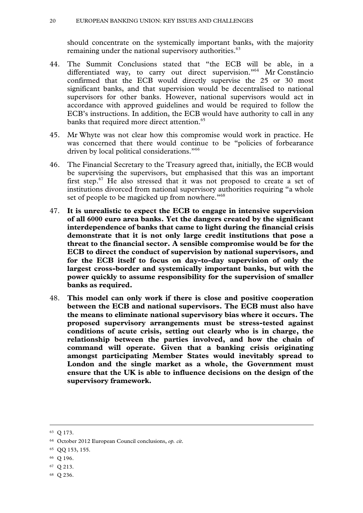#### 20 EUROPEAN BANKING UNION: KEY ISSUES AND CHALLENGES

should concentrate on the systemically important banks, with the majority remaining under the national supervisory authorities.<sup>63</sup>

- 44. The Summit Conclusions stated that "the ECB will be able, in a differentiated way, to carry out direct supervision."<sup>64</sup> Mr Constâncio confirmed that the ECB would directly supervise the 25 or 30 most significant banks, and that supervision would be decentralised to national supervisors for other banks. However, national supervisors would act in accordance with approved guidelines and would be required to follow the ECB's instructions. In addition, the ECB would have authority to call in any banks that required more direct attention.<sup>65</sup>
- 45. Mr Whyte was not clear how this compromise would work in practice. He was concerned that there would continue to be "policies of forbearance driven by local political considerations."<sup>66</sup>
- 46. The Financial Secretary to the Treasury agreed that, initially, the ECB would be supervising the supervisors, but emphasised that this was an important first step. $67$  He also stressed that it was not proposed to create a set of institutions divorced from national supervisory authorities requiring "a whole set of people to be magicked up from nowhere."<sup>68</sup>
- 47. **It is unrealistic to expect the ECB to engage in intensive supervision of all 6000 euro area banks. Yet the dangers created by the significant interdependence of banks that came to light during the financial crisis demonstrate that it is not only large credit institutions that pose a threat to the financial sector. A sensible compromise would be for the ECB to direct the conduct of supervision by national supervisors, and for the ECB itself to focus on day-to-day supervision of only the largest cross-border and systemically important banks, but with the power quickly to assume responsibility for the supervision of smaller banks as required.**
- 48. **This model can only work if there is close and positive cooperation between the ECB and national supervisors. The ECB must also have the means to eliminate national supervisory bias where it occurs. The proposed supervisory arrangements must be stress-tested against conditions of acute crisis, setting out clearly who is in charge, the relationship between the parties involved, and how the chain of command will operate. Given that a banking crisis originating amongst participating Member States would inevitably spread to London and the single market as a whole, the Government must ensure that the UK is able to influence decisions on the design of the supervisory framework.**

- 66 Q 196.
- 67 Q 213.
- 68 Q 236.

 <sup>63</sup> Q 173.

<sup>64</sup> October 2012 European Council conclusions, *op. cit*.

<sup>65</sup> QQ 153, 155.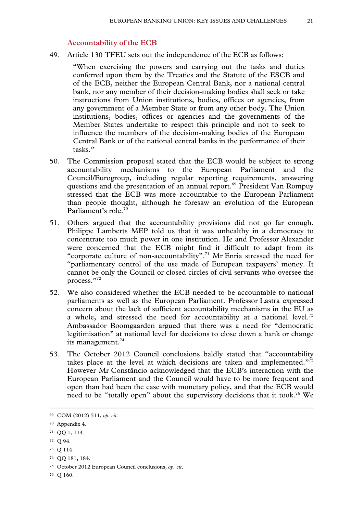#### **Accountability of the ECB**

49. Article 130 TFEU sets out the independence of the ECB as follows:

"When exercising the powers and carrying out the tasks and duties conferred upon them by the Treaties and the Statute of the ESCB and of the ECB, neither the European Central Bank, nor a national central bank, nor any member of their decision-making bodies shall seek or take instructions from Union institutions, bodies, offices or agencies, from any government of a Member State or from any other body. The Union institutions, bodies, offices or agencies and the governments of the Member States undertake to respect this principle and not to seek to influence the members of the decision-making bodies of the European Central Bank or of the national central banks in the performance of their tasks."

- 50. The Commission proposal stated that the ECB would be subject to strong accountability mechanisms to the European Parliament and the Council/Eurogroup, including regular reporting requirements, answering questions and the presentation of an annual report.<sup>69</sup> President Van Rompuy stressed that the ECB was more accountable to the European Parliament than people thought, although he foresaw an evolution of the European Parliament's role.70
- 51. Others argued that the accountability provisions did not go far enough. Philippe Lamberts MEP told us that it was unhealthy in a democracy to concentrate too much power in one institution. He and Professor Alexander were concerned that the ECB might find it difficult to adapt from its "corporate culture of non-accountability".<sup>71</sup> Mr Enria stressed the need for "parliamentary control of the use made of European taxpayers' money. It cannot be only the Council or closed circles of civil servants who oversee the process."72
- 52. We also considered whether the ECB needed to be accountable to national parliaments as well as the European Parliament. Professor Lastra expressed concern about the lack of sufficient accountability mechanisms in the EU as a whole, and stressed the need for accountability at a national level.<sup>73</sup> Ambassador Boomgaarden argued that there was a need for "democratic legitimisation" at national level for decisions to close down a bank or change its management.<sup>74</sup>
- 53. The October 2012 Council conclusions baldly stated that "accountability takes place at the level at which decisions are taken and implemented."75 However Mr Constâncio acknowledged that the ECB's interaction with the European Parliament and the Council would have to be more frequent and open than had been the case with monetary policy, and that the ECB would need to be "totally open" about the supervisory decisions that it took.<sup>76</sup> We

72 Q 94.

74 QQ 181, 184.

76 Q 160.

 <sup>69</sup> COM (2012) 511, *op. cit*.

<sup>70</sup> Appendix 4.

<sup>71</sup> QQ 1, 114.

<sup>73</sup> Q 114.

<sup>75</sup> October 2012 European Council conclusions, *op. cit*.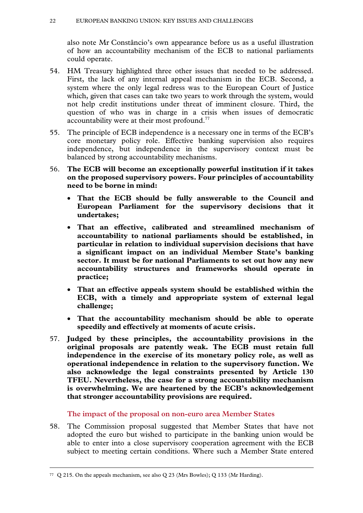also note Mr Constâncio's own appearance before us as a useful illustration of how an accountability mechanism of the ECB to national parliaments could operate.

- 54. HM Treasury highlighted three other issues that needed to be addressed. First, the lack of any internal appeal mechanism in the ECB. Second, a system where the only legal redress was to the European Court of Justice which, given that cases can take two years to work through the system, would not help credit institutions under threat of imminent closure. Third, the question of who was in charge in a crisis when issues of democratic accountability were at their most profound.<sup>77</sup>
- 55. The principle of ECB independence is a necessary one in terms of the ECB's core monetary policy role. Effective banking supervision also requires independence, but independence in the supervisory context must be balanced by strong accountability mechanisms.
- 56. **The ECB will become an exceptionally powerful institution if it takes on the proposed supervisory powers. Four principles of accountability need to be borne in mind:**
	- **That the ECB should be fully answerable to the Council and European Parliament for the supervisory decisions that it undertakes;**
	- **That an effective, calibrated and streamlined mechanism of accountability to national parliaments should be established, in particular in relation to individual supervision decisions that have a significant impact on an individual Member State's banking sector. It must be for national Parliaments to set out how any new accountability structures and frameworks should operate in practice;**
	- **That an effective appeals system should be established within the ECB, with a timely and appropriate system of external legal challenge;**
	- **That the accountability mechanism should be able to operate speedily and effectively at moments of acute crisis.**
- 57. **Judged by these principles, the accountability provisions in the original proposals are patently weak. The ECB must retain full independence in the exercise of its monetary policy role, as well as operational independence in relation to the supervisory function. We also acknowledge the legal constraints presented by Article 130 TFEU. Nevertheless, the case for a strong accountability mechanism is overwhelming. We are heartened by the ECB's acknowledgement that stronger accountability provisions are required.**

# **The impact of the proposal on non-euro area Member States**

58. The Commission proposal suggested that Member States that have not adopted the euro but wished to participate in the banking union would be able to enter into a close supervisory cooperation agreement with the ECB subject to meeting certain conditions. Where such a Member State entered

 <sup>77</sup> Q 215. On the appeals mechanism, see also Q 23 (Mrs Bowles); Q 133 (Mr Harding).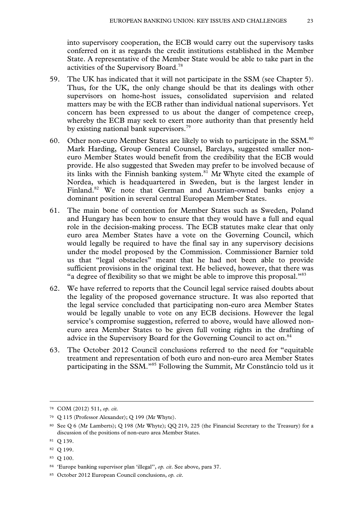into supervisory cooperation, the ECB would carry out the supervisory tasks conferred on it as regards the credit institutions established in the Member State. A representative of the Member State would be able to take part in the activities of the Supervisory Board.78

- 59. The UK has indicated that it will not participate in the SSM (see Chapter 5). Thus, for the UK, the only change should be that its dealings with other supervisors on home-host issues, consolidated supervision and related matters may be with the ECB rather than individual national supervisors. Yet concern has been expressed to us about the danger of competence creep, whereby the ECB may seek to exert more authority than that presently held by existing national bank supervisors.<sup>79</sup>
- 60. Other non-euro Member States are likely to wish to participate in the SSM.80 Mark Harding, Group General Counsel, Barclays, suggested smaller noneuro Member States would benefit from the credibility that the ECB would provide. He also suggested that Sweden may prefer to be involved because of its links with the Finnish banking system.<sup>81</sup> Mr Whyte cited the example of Nordea, which is headquartered in Sweden, but is the largest lender in Finland.<sup>82</sup> We note that German and Austrian-owned banks enjoy a dominant position in several central European Member States.
- 61. The main bone of contention for Member States such as Sweden, Poland and Hungary has been how to ensure that they would have a full and equal role in the decision-making process. The ECB statutes make clear that only euro area Member States have a vote on the Governing Council, which would legally be required to have the final say in any supervisory decisions under the model proposed by the Commission. Commissioner Barnier told us that "legal obstacles" meant that he had not been able to provide sufficient provisions in the original text. He believed, however, that there was "a degree of flexibility so that we might be able to improve this proposal."83
- 62. We have referred to reports that the Council legal service raised doubts about the legality of the proposed governance structure. It was also reported that the legal service concluded that participating non-euro area Member States would be legally unable to vote on any ECB decisions. However the legal service's compromise suggestion, referred to above, would have allowed noneuro area Member States to be given full voting rights in the drafting of advice in the Supervisory Board for the Governing Council to act on.<sup>84</sup>
- 63. The October 2012 Council conclusions referred to the need for "equitable treatment and representation of both euro and non-euro area Member States participating in the SSM."85 Following the Summit, Mr Constâncio told us it

83 Q 100.

 <sup>78</sup> COM (2012) 511, *op. cit.*

<sup>79</sup> Q 115 (Professor Alexander); Q 199 (Mr Whyte).

<sup>80</sup> See Q 6 (Mr Lamberts); Q 198 (Mr Whyte); QQ 219, 225 (the Financial Secretary to the Treasury) for a discussion of the positions of non-euro area Member States.

<sup>81</sup> Q 139.

<sup>82</sup> Q 199.

<sup>84 &#</sup>x27;Europe banking supervisor plan 'illegal'', *op. cit*. See above, para 37.

<sup>85</sup> October 2012 European Council conclusions, *op. cit*.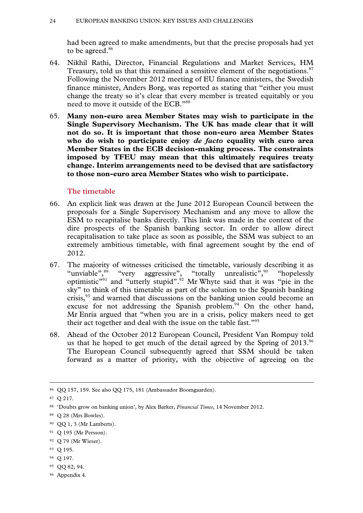had been agreed to make amendments, but that the precise proposals had yet to be agreed.<sup>86</sup>

- 64. Nikhil Rathi, Director, Financial Regulations and Market Services, HM Treasury, told us that this remained a sensitive element of the negotiations.<sup>87</sup> Following the November 2012 meeting of EU finance ministers, the Swedish finance minister, Anders Borg, was reported as stating that "either you must change the treaty so it's clear that every member is treated equitably or you need to move it outside of the ECB."88
- 65. **Many non-euro area Member States may wish to participate in the Single Supervisory Mechanism. The UK has made clear that it will not do so. It is important that those non-euro area Member States who do wish to participate enjoy** *de facto* **equality with euro area Member States in the ECB decision-making process. The constraints imposed by TFEU may mean that this ultimately requires treaty change. Interim arrangements need to be devised that are satisfactory to those non-euro area Member States who wish to participate.**

#### **The timetable**

- 66. An explicit link was drawn at the June 2012 European Council between the proposals for a Single Supervisory Mechanism and any move to allow the ESM to recapitalise banks directly. This link was made in the context of the dire prospects of the Spanish banking sector. In order to allow direct recapitalisation to take place as soon as possible, the SSM was subject to an extremely ambitious timetable, with final agreement sought by the end of 2012.
- 67. The majority of witnesses criticised the timetable, variously describing it as "unviable",<sup>89</sup> "very aggressive", "totally unrealistic",<sup>90</sup> "hopelessly optimistic"<sup>91</sup> and "utterly stupid".<sup>92</sup> Mr Whyte said that it was "pie in the sky" to think of this timetable as part of the solution to the Spanish banking crisis, $93$  and warned that discussions on the banking union could become an excuse for not addressing the Spanish problem.<sup>94</sup> On the other hand, Mr Enria argued that "when you are in a crisis, policy makers need to get their act together and deal with the issue on the table fast."<sup>95</sup>
- 68. Ahead of the October 2012 European Council, President Van Rompuy told us that he hoped to get much of the detail agreed by the Spring of 2013.<sup>96</sup> The European Council subsequently agreed that SSM should be taken forward as a matter of priority, with the objective of agreeing on the

94 Q 197.

96 Appendix 4.

 <sup>86</sup> QQ 157, 159. See also QQ 175, 181 (Ambassador Boomgaarden).

<sup>87</sup> Q 217.

<sup>88 &#</sup>x27;Doubts grow on banking union', by Alex Barker, *Financial Times*, 14 November 2012.

<sup>89</sup> Q 28 (Mrs Bowles).

<sup>90</sup> QQ 1, 3 (Mr Lamberts).

<sup>91</sup> Q 195 (Mr Persson).

<sup>92</sup> Q 79 (Mr Wieser).

<sup>93</sup> Q 195.

<sup>95</sup> QQ 82, 94.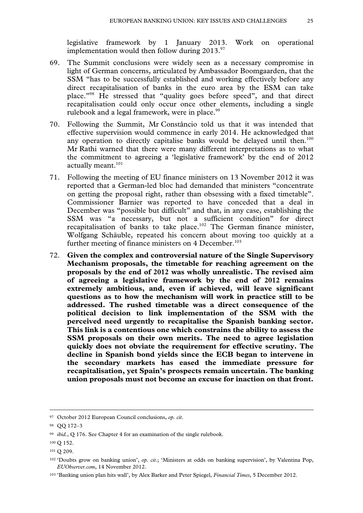legislative framework by 1 January 2013. Work on operational implementation would then follow during  $2013.^{97}$ .

- 69. The Summit conclusions were widely seen as a necessary compromise in light of German concerns, articulated by Ambassador Boomgaarden, that the SSM "has to be successfully established and working effectively before any direct recapitalisation of banks in the euro area by the ESM can take place."98 He stressed that "quality goes before speed", and that direct recapitalisation could only occur once other elements, including a single rulebook and a legal framework, were in place.<sup>99</sup>
- 70. Following the Summit, Mr Constâncio told us that it was intended that effective supervision would commence in early 2014. He acknowledged that any operation to directly capitalise banks would be delayed until then.<sup>100</sup> Mr Rathi warned that there were many different interpretations as to what the commitment to agreeing a 'legislative framework' by the end of 2012 actually meant.<sup>101</sup>
- 71. Following the meeting of EU finance ministers on 13 November 2012 it was reported that a German-led bloc had demanded that ministers "concentrate on getting the proposal right, rather than obsessing with a fixed timetable". Commissioner Barnier was reported to have conceded that a deal in December was "possible but difficult" and that, in any case, establishing the SSM was "a necessary, but not a sufficient condition" for direct recapitalisation of banks to take place.<sup>102</sup> The German finance minister, Wolfgang Schäuble, repeated his concern about moving too quickly at a further meeting of finance ministers on  $4$  December.<sup>103</sup>
- 72. **Given the complex and controversial nature of the Single Supervisory Mechanism proposals, the timetable for reaching agreement on the proposals by the end of 2012 was wholly unrealistic. The revised aim of agreeing a legislative framework by the end of 2012 remains extremely ambitious, and, even if achieved, will leave significant questions as to how the mechanism will work in practice still to be addressed. The rushed timetable was a direct consequence of the political decision to link implementation of the SSM with the perceived need urgently to recapitalise the Spanish banking sector. This link is a contentious one which constrains the ability to assess the SSM proposals on their own merits. The need to agree legislation quickly does not obviate the requirement for effective scrutiny. The decline in Spanish bond yields since the ECB began to intervene in the secondary markets has eased the immediate pressure for recapitalisation, yet Spain's prospects remain uncertain. The banking union proposals must not become an excuse for inaction on that front.**

 <sup>97</sup> October 2012 European Council conclusions, *op. cit*.

<sup>98</sup> QQ 172–3

<sup>99</sup> *ibid.*, Q 176. See Chapter 4 for an examination of the single rulebook.

<sup>100</sup> Q 152.

<sup>&</sup>lt;sup>101</sup> O 209.

<sup>102 &#</sup>x27;Doubts grow on banking union', *op. cit*.; 'Ministers at odds on banking supervision', by Valentina Pop, *EUObserver.com*, 14 November 2012.

<sup>103 &#</sup>x27;Banking union plan hits wall', by Alex Barker and Peter Spiegel, *Financial Times*, 5 December 2012.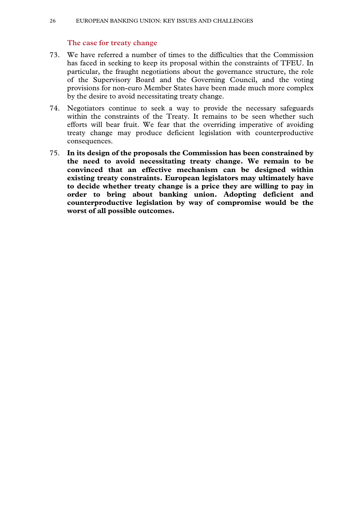# **The case for treaty change**

- 73. We have referred a number of times to the difficulties that the Commission has faced in seeking to keep its proposal within the constraints of TFEU. In particular, the fraught negotiations about the governance structure, the role of the Supervisory Board and the Governing Council, and the voting provisions for non-euro Member States have been made much more complex by the desire to avoid necessitating treaty change.
- 74. Negotiators continue to seek a way to provide the necessary safeguards within the constraints of the Treaty. It remains to be seen whether such efforts will bear fruit. We fear that the overriding imperative of avoiding treaty change may produce deficient legislation with counterproductive consequences.
- 75. **In its design of the proposals the Commission has been constrained by the need to avoid necessitating treaty change. We remain to be convinced that an effective mechanism can be designed within existing treaty constraints. European legislators may ultimately have to decide whether treaty change is a price they are willing to pay in order to bring about banking union. Adopting deficient and counterproductive legislation by way of compromise would be the worst of all possible outcomes.**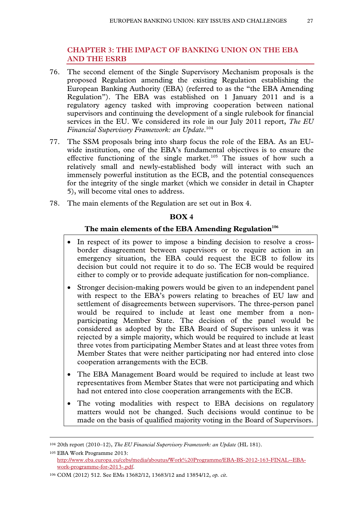# **CHAPTER 3: THE IMPACT OF BANKING UNION ON THE EBA AND THE ESRB**

- 76. The second element of the Single Supervisory Mechanism proposals is the proposed Regulation amending the existing Regulation establishing the European Banking Authority (EBA) (referred to as the "the EBA Amending Regulation"). The EBA was established on 1 January 2011 and is a regulatory agency tasked with improving cooperation between national supervisors and continuing the development of a single rulebook for financial services in the EU. We considered its role in our July 2011 report, *The EU Financial Supervisory Framework: an Update*. 104
- 77. The SSM proposals bring into sharp focus the role of the EBA. As an EUwide institution, one of the EBA's fundamental objectives is to ensure the effective functioning of the single market.<sup>105</sup> The issues of how such a relatively small and newly-established body will interact with such an immensely powerful institution as the ECB, and the potential consequences for the integrity of the single market (which we consider in detail in Chapter 5), will become vital ones to address.
- 78. The main elements of the Regulation are set out in Box 4.

# **BOX 4**

# The main elements of the EBA Amending Regulation<sup>106</sup>

- In respect of its power to impose a binding decision to resolve a crossborder disagreement between supervisors or to require action in an emergency situation, the EBA could request the ECB to follow its decision but could not require it to do so. The ECB would be required either to comply or to provide adequate justification for non-compliance.
- Stronger decision-making powers would be given to an independent panel with respect to the EBA's powers relating to breaches of EU law and settlement of disagreements between supervisors. The three-person panel would be required to include at least one member from a nonparticipating Member State. The decision of the panel would be considered as adopted by the EBA Board of Supervisors unless it was rejected by a simple majority, which would be required to include at least three votes from participating Member States and at least three votes from Member States that were neither participating nor had entered into close cooperation arrangements with the ECB.
- The EBA Management Board would be required to include at least two representatives from Member States that were not participating and which had not entered into close cooperation arrangements with the ECB.
- The voting modalities with respect to EBA decisions on regulatory matters would not be changed. Such decisions would continue to be made on the basis of qualified majority voting in the Board of Supervisors.

 <sup>104 20</sup>th report (2010–12), *The EU Financial Supervisory Framework: an Update* (HL 181).

<sup>105</sup> EBA Work Programme 2013: http://www.eba.europa.eu/cebs/media/aboutus/Work%20Programme/EBA-BS-2012-163-FINAL--EBAwork-programme-for-2013-.pdf.

<sup>106</sup> COM (2012) 512. See EMs 13682/12, 13683/12 and 13854/12, *op. cit*.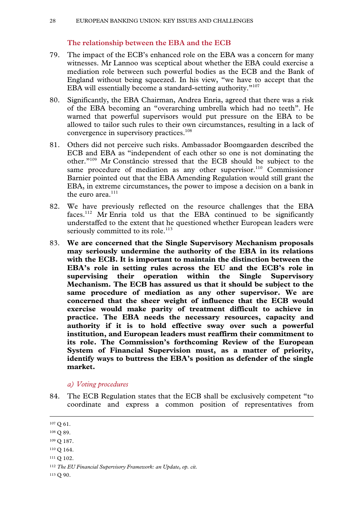# **The relationship between the EBA and the ECB**

- 79. The impact of the ECB's enhanced role on the EBA was a concern for many witnesses. Mr Lannoo was sceptical about whether the EBA could exercise a mediation role between such powerful bodies as the ECB and the Bank of England without being squeezed. In his view, "we have to accept that the EBA will essentially become a standard-setting authority."<sup>107</sup>
- 80. Significantly, the EBA Chairman, Andrea Enria, agreed that there was a risk of the EBA becoming an "overarching umbrella which had no teeth". He warned that powerful supervisors would put pressure on the EBA to be allowed to tailor such rules to their own circumstances, resulting in a lack of convergence in supervisory practices.<sup>108</sup>
- 81. Others did not perceive such risks. Ambassador Boomgaarden described the ECB and EBA as "independent of each other so one is not dominating the other."109 Mr Constâncio stressed that the ECB should be subject to the same procedure of mediation as any other supervisor.<sup>110</sup> Commissioner Barnier pointed out that the EBA Amending Regulation would still grant the EBA, in extreme circumstances, the power to impose a decision on a bank in the euro area. $111$
- 82. We have previously reflected on the resource challenges that the EBA faces.112 Mr Enria told us that the EBA continued to be significantly understaffed to the extent that he questioned whether European leaders were seriously committed to its role.<sup>113</sup>
- 83. **We are concerned that the Single Supervisory Mechanism proposals may seriously undermine the authority of the EBA in its relations with the ECB. It is important to maintain the distinction between the EBA's role in setting rules across the EU and the ECB's role in supervising their operation within the Single Supervisory Mechanism. The ECB has assured us that it should be subject to the same procedure of mediation as any other supervisor. We are concerned that the sheer weight of influence that the ECB would exercise would make parity of treatment difficult to achieve in practice. The EBA needs the necessary resources, capacity and authority if it is to hold effective sway over such a powerful institution, and European leaders must reaffirm their commitment to its role. The Commission's forthcoming Review of the European System of Financial Supervision must, as a matter of priority, identify ways to buttress the EBA's position as defender of the single market.**

#### *a) Voting procedures*

84. The ECB Regulation states that the ECB shall be exclusively competent "to coordinate and express a common position of representatives from

111 Q 102.

113 Q 90.

 <sup>107</sup> Q 61.

<sup>108</sup> Q 89.

<sup>109</sup> Q 187.

<sup>&</sup>lt;sup>110</sup> Q 164.

<sup>112</sup> *The EU Financial Supervisory Framework: an Update*, *op. cit.*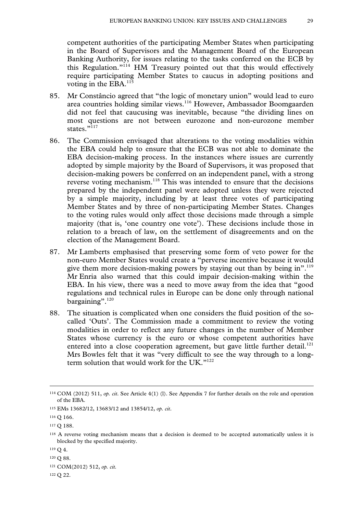competent authorities of the participating Member States when participating in the Board of Supervisors and the Management Board of the European Banking Authority, for issues relating to the tasks conferred on the ECB by this Regulation."114 HM Treasury pointed out that this would effectively require participating Member States to caucus in adopting positions and voting in the EBA.<sup>115</sup>

- 85. Mr Constâncio agreed that "the logic of monetary union" would lead to euro area countries holding similar views.116 However, Ambassador Boomgaarden did not feel that caucusing was inevitable, because "the dividing lines on most questions are not between eurozone and non-eurozone member states<sup>"117</sup>
- 86. The Commission envisaged that alterations to the voting modalities within the EBA could help to ensure that the ECB was not able to dominate the EBA decision-making process. In the instances where issues are currently adopted by simple majority by the Board of Supervisors, it was proposed that decision-making powers be conferred on an independent panel, with a strong reverse voting mechanism.<sup>118</sup> This was intended to ensure that the decisions prepared by the independent panel were adopted unless they were rejected by a simple majority, including by at least three votes of participating Member States and by three of non-participating Member States. Changes to the voting rules would only affect those decisions made through a simple majority (that is, 'one country one vote'). These decisions include those in relation to a breach of law, on the settlement of disagreements and on the election of the Management Board.
- 87. Mr Lamberts emphasised that preserving some form of veto power for the non-euro Member States would create a "perverse incentive because it would give them more decision-making powers by staying out than by being in".<sup>119</sup> Mr Enria also warned that this could impair decision-making within the EBA. In his view, there was a need to move away from the idea that "good regulations and technical rules in Europe can be done only through national bargaining".<sup>120</sup>
- 88. The situation is complicated when one considers the fluid position of the socalled 'Outs'. The Commission made a commitment to review the voting modalities in order to reflect any future changes in the number of Member States whose currency is the euro or whose competent authorities have entered into a close cooperation agreement, but gave little further detail.<sup>121</sup> Mrs Bowles felt that it was "very difficult to see the way through to a longterm solution that would work for the UK."<sup>122</sup>

122 Q 22.

 <sup>114</sup> COM (2012) 511, *op. cit*. See Article 4(1) (l). See Appendix 7 for further details on the role and operation of the EBA.

<sup>115</sup> EMs 13682/12, 13683/12 and 13854/12, *op. cit*.

<sup>116</sup> Q 166.

<sup>117</sup> Q 188.

<sup>118</sup> A reverse voting mechanism means that a decision is deemed to be accepted automatically unless it is blocked by the specified majority.

<sup>119</sup> Q 4.

<sup>120</sup> Q 88.

<sup>121</sup> COM(2012) 512, *op. cit.*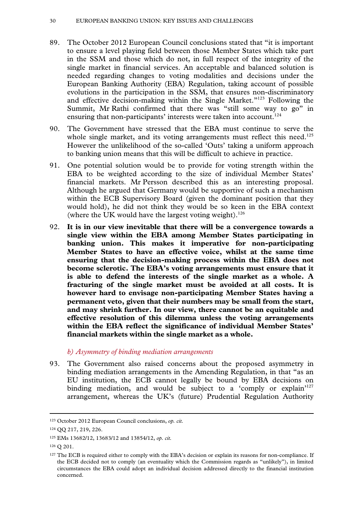- 89. The October 2012 European Council conclusions stated that "it is important to ensure a level playing field between those Member States which take part in the SSM and those which do not, in full respect of the integrity of the single market in financial services. An acceptable and balanced solution is needed regarding changes to voting modalities and decisions under the European Banking Authority (EBA) Regulation, taking account of possible evolutions in the participation in the SSM, that ensures non-discriminatory and effective decision-making within the Single Market."123 Following the Summit, Mr Rathi confirmed that there was "still some way to go" in ensuring that non-participants' interests were taken into account.<sup>124</sup>
- 90. The Government have stressed that the EBA must continue to serve the whole single market, and its voting arrangements must reflect this need.<sup>125</sup> However the unlikelihood of the so-called 'Outs' taking a uniform approach to banking union means that this will be difficult to achieve in practice.
- 91. One potential solution would be to provide for voting strength within the EBA to be weighted according to the size of individual Member States' financial markets. Mr Persson described this as an interesting proposal. Although he argued that Germany would be supportive of such a mechanism within the ECB Supervisory Board (given the dominant position that they would hold), he did not think they would be so keen in the EBA context (where the UK would have the largest voting weight).<sup>126</sup>
- 92. **It is in our view inevitable that there will be a convergence towards a single view within the EBA among Member States participating in banking union. This makes it imperative for non-participating Member States to have an effective voice, whilst at the same time ensuring that the decision-making process within the EBA does not become sclerotic. The EBA's voting arrangements must ensure that it is able to defend the interests of the single market as a whole. A fracturing of the single market must be avoided at all costs. It is however hard to envisage non-participating Member States having a permanent veto, given that their numbers may be small from the start, and may shrink further. In our view, there cannot be an equitable and effective resolution of this dilemma unless the voting arrangements within the EBA reflect the significance of individual Member States' financial markets within the single market as a whole.**

#### *b) Asymmetry of binding mediation arrangements*

93. The Government also raised concerns about the proposed asymmetry in binding mediation arrangements in the Amending Regulation, in that "as an EU institution, the ECB cannot legally be bound by EBA decisions on binding mediation, and would be subject to a 'comply or explain'<sup>127</sup> arrangement, whereas the UK's (future) Prudential Regulation Authority

 <sup>123</sup> October 2012 European Council conclusions, *op. cit.*

<sup>124</sup> QQ 217, 219, 226.

<sup>125</sup> EMs 13682/12, 13683/12 and 13854/12, *op. cit.*

<sup>126</sup> Q 201.

<sup>&</sup>lt;sup>127</sup> The ECB is required either to comply with the EBA's decision or explain its reasons for non-compliance. If the ECB decided not to comply (an eventuality which the Commission regards as "unlikely"), in limited circumstances the EBA could adopt an individual decision addressed directly to the financial institution concerned.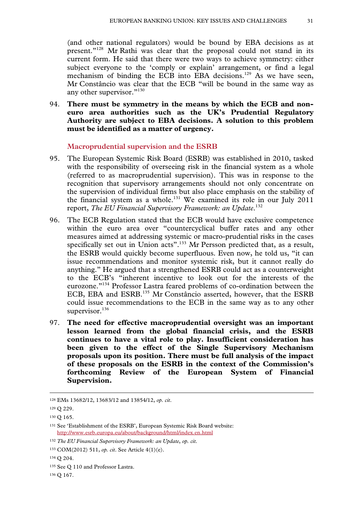(and other national regulators) would be bound by EBA decisions as at present."128 Mr Rathi was clear that the proposal could not stand in its current form. He said that there were two ways to achieve symmetry: either subject everyone to the 'comply or explain' arrangement, or find a legal mechanism of binding the ECB into EBA decisions.<sup>129</sup> As we have seen, Mr Constâncio was clear that the ECB "will be bound in the same way as any other supervisor."130

94. **There must be symmetry in the means by which the ECB and noneuro area authorities such as the UK's Prudential Regulatory Authority are subject to EBA decisions. A solution to this problem must be identified as a matter of urgency.**

# **Macroprudential supervision and the ESRB**

- 95. The European Systemic Risk Board (ESRB) was established in 2010, tasked with the responsibility of overseeing risk in the financial system as a whole (referred to as macroprudential supervision). This was in response to the recognition that supervisory arrangements should not only concentrate on the supervision of individual firms but also place emphasis on the stability of the financial system as a whole.<sup>131</sup> We examined its role in our July 2011 report, *The EU Financial Supervisory Framework: an Update*. 132
- 96. The ECB Regulation stated that the ECB would have exclusive competence within the euro area over "countercyclical buffer rates and any other measures aimed at addressing systemic or macro-prudential risks in the cases specifically set out in Union acts".<sup>133</sup> Mr Persson predicted that, as a result, the ESRB would quickly become superfluous. Even now, he told us, "it can issue recommendations and monitor systemic risk, but it cannot really do anything." He argued that a strengthened ESRB could act as a counterweight to the ECB's "inherent incentive to look out for the interests of the eurozone."134 Professor Lastra feared problems of co-ordination between the ECB, EBA and ESRB.135 Mr Constâncio asserted, however, that the ESRB could issue recommendations to the ECB in the same way as to any other supervisor.<sup>136</sup>
- 97. **The need for effective macroprudential oversight was an important lesson learned from the global financial crisis, and the ESRB continues to have a vital role to play. Insufficient consideration has been given to the effect of the Single Supervisory Mechanism proposals upon its position. There must be full analysis of the impact of these proposals on the ESRB in the context of the Commission's forthcoming Review of the European System of Financial Supervision.**

 <sup>128</sup> EMs 13682/12, 13683/12 and 13854/12, *op. cit*.

<sup>129</sup> Q 229.

<sup>130</sup> Q 165.

<sup>131</sup> See 'Establishment of the ESRB', European Systemic Risk Board website: http://www.esrb.europa.eu/about/background/html/index.en.html

<sup>132</sup> *The EU Financial Supervisory Framework: an Update*, *op. cit*.

<sup>133</sup> COM(2012) 511, *op. cit*. See Article 4(1)(e).

<sup>134</sup> Q 204.

<sup>135</sup> See Q 110 and Professor Lastra.

<sup>136</sup> Q 167.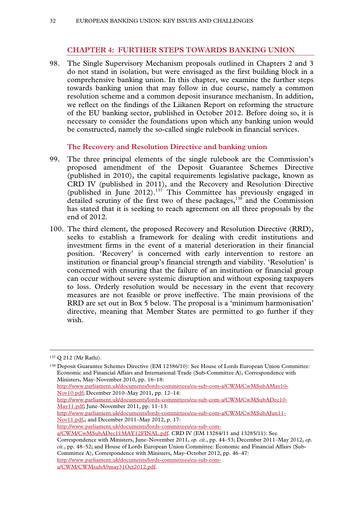# **CHAPTER 4: FURTHER STEPS TOWARDS BANKING UNION**

98. The Single Supervisory Mechanism proposals outlined in Chapters 2 and 3 do not stand in isolation, but were envisaged as the first building block in a comprehensive banking union. In this chapter, we examine the further steps towards banking union that may follow in due course, namely a common resolution scheme and a common deposit insurance mechanism. In addition, we reflect on the findings of the Liikanen Report on reforming the structure of the EU banking sector, published in October 2012. Before doing so, it is necessary to consider the foundations upon which any banking union would be constructed, namely the so-called single rulebook in financial services.

#### **The Recovery and Resolution Directive and banking union**

- 99. The three principal elements of the single rulebook are the Commission's proposed amendment of the Deposit Guarantee Schemes Directive (published in 2010), the capital requirements legislative package, known as CRD IV (published in 2011), and the Recovery and Resolution Directive (published in June 2012).<sup>137</sup> This Committee has previously engaged in detailed scrutiny of the first two of these packages, $138$  and the Commission has stated that it is seeking to reach agreement on all three proposals by the end of 2012.
- 100. The third element, the proposed Recovery and Resolution Directive (RRD), seeks to establish a framework for dealing with credit institutions and investment firms in the event of a material deterioration in their financial position. 'Recovery' is concerned with early intervention to restore an institution or financial group's financial strength and viability. 'Resolution' is concerned with ensuring that the failure of an institution or financial group can occur without severe systemic disruption and without exposing taxpayers to loss. Orderly resolution would be necessary in the event that recovery measures are not feasible or prove ineffective. The main provisions of the RRD are set out in Box 5 below. The proposal is a 'minimum harmonisation' directive, meaning that Member States are permitted to go further if they wish.

 <sup>137</sup> Q 212 (Mr Rathi).

<sup>138</sup> Deposit Guarantee Schemes Directive (EM 12386/10): See House of Lords European Union Committee: Economic and Financial Affairs and International Trade (Sub-Committee A), Correspondence with Ministers, May–November 2010, pp. 16–18: http://www.parliament.uk/documents/lords-committees/eu-sub-com-a/CWM/CwMSubAMay10- Nov10.pdf; December 2010–May 2011, pp. 12–14: http://www.parliament.uk/documents/lords-committees/eu-sub-com-a/CWM/CwMSubADec10- May11.pdf; June–November 2011, pp. 11–13: http://www.parliament.uk/documents/lords-committees/eu-sub-com-a/CWM/CwMSubAJun11- Nov11.pdf,; and December 2011–May 2012, p. 17: http://www.parliament.uk/documents/lords-committees/eu-sub-com-

a/CWM/CwMSubADec11MAY12FINAL.pdf. CRD IV (EM 13284/11 and 13285/11): See

Correspondence with Ministers, June–November 2011, *op. cit.*, pp. 44–53; December 2011–May 2012, *op. cit.*, pp. 48–52; and House of Lords European Union Committee: Economic and Financial Affairs (Sub-Committee A), Correspondence with Ministers, May–October 2012, pp. 46–47:

http://www.parliament.uk/documents/lords-committees/eu-sub-com-

a/CWM/CWMsubA9may31Oct2012.pdf.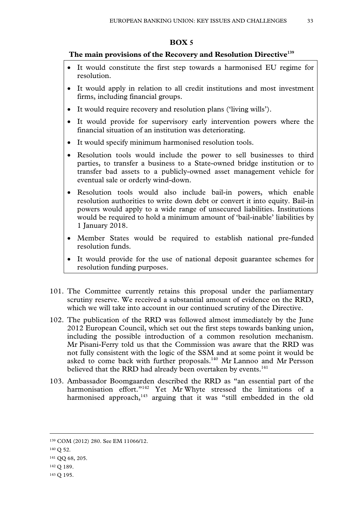#### **BOX 5**

# **The main provisions of the Recovery and Resolution Directive139**

- It would constitute the first step towards a harmonised EU regime for resolution.
- It would apply in relation to all credit institutions and most investment firms, including financial groups.
- It would require recovery and resolution plans ('living wills').
- It would provide for supervisory early intervention powers where the financial situation of an institution was deteriorating.
- It would specify minimum harmonised resolution tools.
- Resolution tools would include the power to sell businesses to third parties, to transfer a business to a State-owned bridge institution or to transfer bad assets to a publicly-owned asset management vehicle for eventual sale or orderly wind-down.
- Resolution tools would also include bail-in powers, which enable resolution authorities to write down debt or convert it into equity. Bail-in powers would apply to a wide range of unsecured liabilities. Institutions would be required to hold a minimum amount of 'bail-inable' liabilities by 1 January 2018.
- Member States would be required to establish national pre-funded resolution funds.
- It would provide for the use of national deposit guarantee schemes for resolution funding purposes.
- 101. The Committee currently retains this proposal under the parliamentary scrutiny reserve. We received a substantial amount of evidence on the RRD, which we will take into account in our continued scrutiny of the Directive.
- 102. The publication of the RRD was followed almost immediately by the June 2012 European Council, which set out the first steps towards banking union, including the possible introduction of a common resolution mechanism. Mr Pisani-Ferry told us that the Commission was aware that the RRD was not fully consistent with the logic of the SSM and at some point it would be asked to come back with further proposals.<sup>140</sup> Mr Lannoo and Mr Persson believed that the RRD had already been overtaken by events.<sup>141</sup>
- 103. Ambassador Boomgaarden described the RRD as "an essential part of the harmonisation effort."<sup>142</sup> Yet Mr Whyte stressed the limitations of a harmonised approach, $143$  arguing that it was "still embedded in the old

 <sup>139</sup> COM (2012) 280. See EM 11066/12.

<sup>140</sup> Q 52.

<sup>141</sup> QQ 68, 205.

<sup>142</sup> Q 189.

<sup>143</sup> Q 195.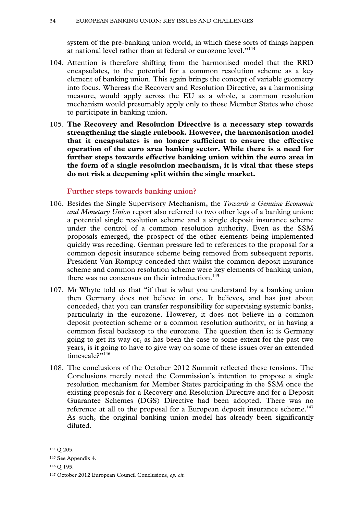system of the pre-banking union world, in which these sorts of things happen at national level rather than at federal or eurozone level."<sup>144</sup>

- 104. Attention is therefore shifting from the harmonised model that the RRD encapsulates, to the potential for a common resolution scheme as a key element of banking union. This again brings the concept of variable geometry into focus. Whereas the Recovery and Resolution Directive, as a harmonising measure, would apply across the EU as a whole, a common resolution mechanism would presumably apply only to those Member States who chose to participate in banking union.
- 105. **The Recovery and Resolution Directive is a necessary step towards strengthening the single rulebook. However, the harmonisation model that it encapsulates is no longer sufficient to ensure the effective operation of the euro area banking sector. While there is a need for further steps towards effective banking union within the euro area in the form of a single resolution mechanism, it is vital that these steps do not risk a deepening split within the single market.**

#### **Further steps towards banking union?**

- 106. Besides the Single Supervisory Mechanism, the *Towards a Genuine Economic and Monetary Union* report also referred to two other legs of a banking union: a potential single resolution scheme and a single deposit insurance scheme under the control of a common resolution authority. Even as the SSM proposals emerged, the prospect of the other elements being implemented quickly was receding. German pressure led to references to the proposal for a common deposit insurance scheme being removed from subsequent reports. President Van Rompuy conceded that whilst the common deposit insurance scheme and common resolution scheme were key elements of banking union, there was no consensus on their introduction.<sup>145</sup>
- 107. Mr Whyte told us that "if that is what you understand by a banking union then Germany does not believe in one. It believes, and has just about conceded, that you can transfer responsibility for supervising systemic banks, particularly in the eurozone. However, it does not believe in a common deposit protection scheme or a common resolution authority, or in having a common fiscal backstop to the eurozone. The question then is: is Germany going to get its way or, as has been the case to some extent for the past two years, is it going to have to give way on some of these issues over an extended timescale?"146
- 108. The conclusions of the October 2012 Summit reflected these tensions. The Conclusions merely noted the Commission's intention to propose a single resolution mechanism for Member States participating in the SSM once the existing proposals for a Recovery and Resolution Directive and for a Deposit Guarantee Schemes (DGS) Directive had been adopted. There was no reference at all to the proposal for a European deposit insurance scheme.<sup>147</sup> As such, the original banking union model has already been significantly diluted.

 <sup>144</sup> Q 205.

<sup>145</sup> See Appendix 4.

<sup>146</sup> Q 195.

<sup>147</sup> October 2012 European Council Conclusions, *op. cit.*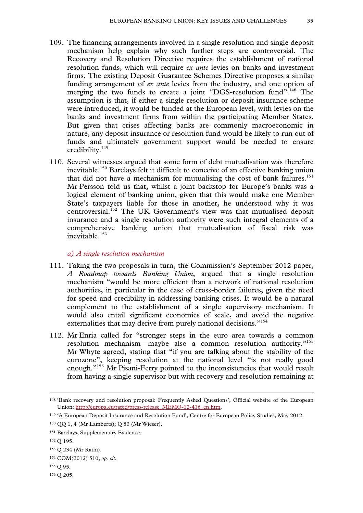- 109. The financing arrangements involved in a single resolution and single deposit mechanism help explain why such further steps are controversial. The Recovery and Resolution Directive requires the establishment of national resolution funds, which will require *ex ante* levies on banks and investment firms. The existing Deposit Guarantee Schemes Directive proposes a similar funding arrangement of *ex ante* levies from the industry, and one option of merging the two funds to create a joint "DGS-resolution fund".<sup>148</sup> The assumption is that, if either a single resolution or deposit insurance scheme were introduced, it would be funded at the European level, with levies on the banks and investment firms from within the participating Member States. But given that crises affecting banks are commonly macroeconomic in nature, any deposit insurance or resolution fund would be likely to run out of funds and ultimately government support would be needed to ensure credibility.149
- 110. Several witnesses argued that some form of debt mutualisation was therefore inevitable.150 Barclays felt it difficult to conceive of an effective banking union that did not have a mechanism for mutualising the cost of bank failures.<sup>151</sup> Mr Persson told us that, whilst a joint backstop for Europe's banks was a logical element of banking union, given that this would make one Member State's taxpayers liable for those in another, he understood why it was controversial.<sup>152</sup> The UK Government's view was that mutualised deposit insurance and a single resolution authority were such integral elements of a comprehensive banking union that mutualisation of fiscal risk was inevitable.<sup>153</sup>

#### *a) A single resolution mechanism*

- 111. Taking the two proposals in turn, the Commission's September 2012 paper, *A Roadmap towards Banking Union*, argued that a single resolution mechanism "would be more efficient than a network of national resolution authorities, in particular in the case of cross-border failures, given the need for speed and credibility in addressing banking crises. It would be a natural complement to the establishment of a single supervisory mechanism. It would also entail significant economies of scale, and avoid the negative externalities that may derive from purely national decisions."<sup>154</sup>
- 112. Mr Enria called for "stronger steps in the euro area towards a common resolution mechanism—maybe also a common resolution authority."155 Mr Whyte agreed, stating that "if you are talking about the stability of the eurozone", keeping resolution at the national level "is not really good enough."<sup>156</sup> Mr Pisani-Ferry pointed to the inconsistencies that would result from having a single supervisor but with recovery and resolution remaining at

156 Q 205.

 <sup>148 &#</sup>x27;Bank recovery and resolution proposal: Frequently Asked Questions', Official website of the European Union: http://europa.eu/rapid/press-release\_MEMO-12-416\_en.htm.

<sup>149 &#</sup>x27;A European Deposit Insurance and Resolution Fund', Centre for European Policy Studies, May 2012.

<sup>150</sup> QQ 1, 4 (Mr Lamberts); Q 80 (Mr Wieser).

<sup>151</sup> Barclays, Supplementary Evidence.

<sup>152</sup> Q 195.

<sup>153</sup> Q 234 (Mr Rathi).

<sup>154</sup> COM(2012) 510, *op. cit.* 

<sup>155</sup> Q 95.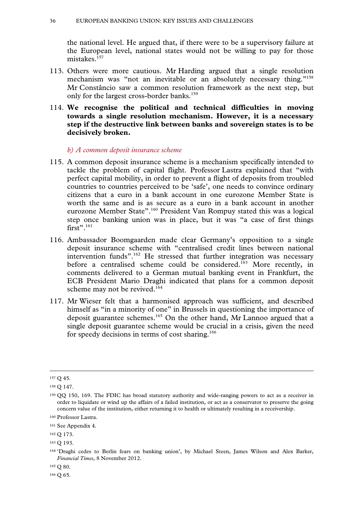the national level. He argued that, if there were to be a supervisory failure at the European level, national states would not be willing to pay for those mistakes.<sup>157</sup>

- 113. Others were more cautious. Mr Harding argued that a single resolution mechanism was "not an inevitable or an absolutely necessary thing."<sup>158</sup> Mr Constâncio saw a common resolution framework as the next step, but only for the largest cross-border banks.<sup>159</sup>
- 114. **We recognise the political and technical difficulties in moving towards a single resolution mechanism. However, it is a necessary step if the destructive link between banks and sovereign states is to be decisively broken.**

#### *b) A common deposit insurance scheme*

- 115. A common deposit insurance scheme is a mechanism specifically intended to tackle the problem of capital flight. Professor Lastra explained that "with perfect capital mobility, in order to prevent a flight of deposits from troubled countries to countries perceived to be 'safe', one needs to convince ordinary citizens that a euro in a bank account in one eurozone Member State is worth the same and is as secure as a euro in a bank account in another eurozone Member State".160 President Van Rompuy stated this was a logical step once banking union was in place, but it was "a case of first things  $first$ ".<sup>161</sup>
- 116. Ambassador Boomgaarden made clear Germany's opposition to a single deposit insurance scheme with "centralised credit lines between national intervention funds".<sup>162</sup> He stressed that further integration was necessary before a centralised scheme could be considered.<sup>163</sup> More recently, in comments delivered to a German mutual banking event in Frankfurt, the ECB President Mario Draghi indicated that plans for a common deposit scheme may not be revived.<sup>164</sup>
- 117. Mr Wieser felt that a harmonised approach was sufficient, and described himself as "in a minority of one" in Brussels in questioning the importance of deposit guarantee schemes.165 On the other hand, Mr Lannoo argued that a single deposit guarantee scheme would be crucial in a crisis, given the need for speedy decisions in terms of cost sharing.<sup>166</sup>

166 Q 65.

 <sup>157</sup> Q 45.

<sup>158</sup> Q 147.

<sup>159</sup> QQ 150, 169. The FDIC has broad statutory authority and wide-ranging powers to act as a receiver in order to liquidate or wind up the affairs of a failed institution, or act as a conservator to preserve the going concern value of the institution, either returning it to health or ultimately resulting in a receivership.

<sup>160</sup> Professor Lastra.

<sup>161</sup> See Appendix 4.

<sup>162</sup> Q 173.

<sup>163</sup> Q 193.

<sup>164 &#</sup>x27;Draghi cedes to Berlin fears on banking union', by Michael Steen, James Wilson and Alex Barker, *Financial Times*, 8 November 2012.

<sup>165</sup> Q 80.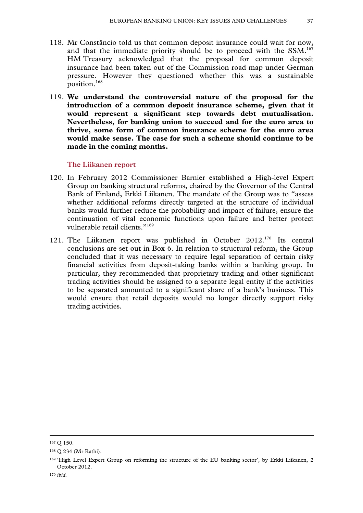- 118. Mr Constâncio told us that common deposit insurance could wait for now, and that the immediate priority should be to proceed with the SSM.<sup>167</sup> HM Treasury acknowledged that the proposal for common deposit insurance had been taken out of the Commission road map under German pressure. However they questioned whether this was a sustainable position.<sup>168</sup>
- 119. **We understand the controversial nature of the proposal for the introduction of a common deposit insurance scheme, given that it would represent a significant step towards debt mutualisation. Nevertheless, for banking union to succeed and for the euro area to thrive, some form of common insurance scheme for the euro area would make sense. The case for such a scheme should continue to be made in the coming months.**

# **The Liikanen report**

- 120. In February 2012 Commissioner Barnier established a High-level Expert Group on banking structural reforms, chaired by the Governor of the Central Bank of Finland, Erkki Liikanen. The mandate of the Group was to "assess whether additional reforms directly targeted at the structure of individual banks would further reduce the probability and impact of failure, ensure the continuation of vital economic functions upon failure and better protect vulnerable retail clients."<sup>169</sup>
- 121. The Liikanen report was published in October 2012.170 Its central conclusions are set out in Box 6. In relation to structural reform, the Group concluded that it was necessary to require legal separation of certain risky financial activities from deposit-taking banks within a banking group. In particular, they recommended that proprietary trading and other significant trading activities should be assigned to a separate legal entity if the activities to be separated amounted to a significant share of a bank's business. This would ensure that retail deposits would no longer directly support risky trading activities.

 <sup>167</sup> Q 150.

<sup>168</sup> Q 234 (Mr Rathi).

<sup>169 &#</sup>x27;High Level Expert Group on reforming the structure of the EU banking sector', by Erkki Liikanen, 2 October 2012.

<sup>170</sup> *ibid.*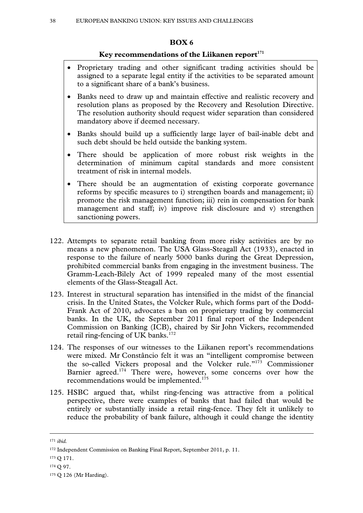# **BOX 6**

# Key recommendations of the Liikanen report<sup>171</sup>

- Proprietary trading and other significant trading activities should be assigned to a separate legal entity if the activities to be separated amount to a significant share of a bank's business.
- Banks need to draw up and maintain effective and realistic recovery and resolution plans as proposed by the Recovery and Resolution Directive. The resolution authority should request wider separation than considered mandatory above if deemed necessary.
- Banks should build up a sufficiently large layer of bail-inable debt and such debt should be held outside the banking system.
- There should be application of more robust risk weights in the determination of minimum capital standards and more consistent treatment of risk in internal models.
- There should be an augmentation of existing corporate governance reforms by specific measures to i) strengthen boards and management; ii) promote the risk management function; iii) rein in compensation for bank management and staff; iv) improve risk disclosure and v) strengthen sanctioning powers.
- 122. Attempts to separate retail banking from more risky activities are by no means a new phenomenon. The USA Glass-Steagall Act (1933), enacted in response to the failure of nearly 5000 banks during the Great Depression, prohibited commercial banks from engaging in the investment business. The Gramm-Leach-Bilely Act of 1999 repealed many of the most essential elements of the Glass-Steagall Act.
- 123. Interest in structural separation has intensified in the midst of the financial crisis. In the United States, the Volcker Rule, which forms part of the Dodd-Frank Act of 2010, advocates a ban on proprietary trading by commercial banks. In the UK, the September 2011 final report of the Independent Commission on Banking (ICB), chaired by Sir John Vickers, recommended retail ring-fencing of UK banks.<sup>172</sup>
- 124. The responses of our witnesses to the Liikanen report's recommendations were mixed. Mr Constâncio felt it was an "intelligent compromise between the so-called Vickers proposal and the Volcker rule."173 Commissioner Barnier agreed.<sup>174</sup> There were, however, some concerns over how the recommendations would be implemented.<sup>175</sup>
- 125. HSBC argued that, whilst ring-fencing was attractive from a political perspective, there were examples of banks that had failed that would be entirely or substantially inside a retail ring-fence. They felt it unlikely to reduce the probability of bank failure, although it could change the identity

 <sup>171</sup> *ibid.* 

<sup>172</sup> Independent Commission on Banking Final Report, September 2011, p. 11.

<sup>173</sup> Q 171.

<sup>174</sup> Q 97.

<sup>175</sup> Q 126 (Mr Harding).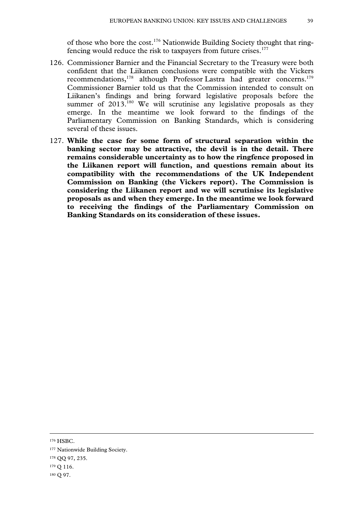of those who bore the cost.<sup>176</sup> Nationwide Building Society thought that ringfencing would reduce the risk to taxpayers from future crises.<sup>177</sup>

- 126. Commissioner Barnier and the Financial Secretary to the Treasury were both confident that the Liikanen conclusions were compatible with the Vickers recommendations,<sup>178</sup> although Professor Lastra had greater concerns.<sup>179</sup> Commissioner Barnier told us that the Commission intended to consult on Liikanen's findings and bring forward legislative proposals before the summer of 2013.<sup>180</sup> We will scrutinise any legislative proposals as they emerge. In the meantime we look forward to the findings of the Parliamentary Commission on Banking Standards, which is considering several of these issues.
- 127. **While the case for some form of structural separation within the banking sector may be attractive, the devil is in the detail. There remains considerable uncertainty as to how the ringfence proposed in the Liikanen report will function, and questions remain about its compatibility with the recommendations of the UK Independent Commission on Banking (the Vickers report). The Commission is considering the Liikanen report and we will scrutinise its legislative proposals as and when they emerge. In the meantime we look forward to receiving the findings of the Parliamentary Commission on Banking Standards on its consideration of these issues.**

176 HSBC.

177 Nationwide Building Society.

<sup>178</sup> QQ 97, 235.

<sup>179</sup> Q 116.

<sup>180</sup> Q 97.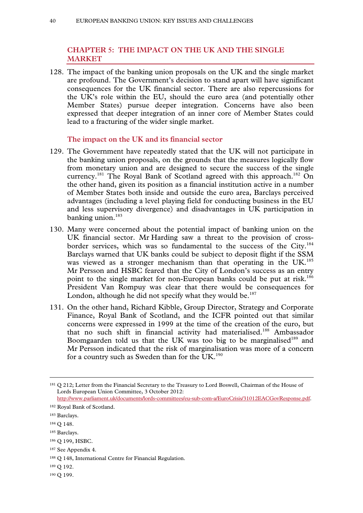# **CHAPTER 5: THE IMPACT ON THE UK AND THE SINGLE MARKET**

128. The impact of the banking union proposals on the UK and the single market are profound. The Government's decision to stand apart will have significant consequences for the UK financial sector. There are also repercussions for the UK's role within the EU, should the euro area (and potentially other Member States) pursue deeper integration. Concerns have also been expressed that deeper integration of an inner core of Member States could lead to a fracturing of the wider single market.

#### **The impact on the UK and its financial sector**

- 129. The Government have repeatedly stated that the UK will not participate in the banking union proposals, on the grounds that the measures logically flow from monetary union and are designed to secure the success of the single currency.<sup>181</sup> The Royal Bank of Scotland agreed with this approach.<sup>182</sup> On the other hand, given its position as a financial institution active in a number of Member States both inside and outside the euro area, Barclays perceived advantages (including a level playing field for conducting business in the EU and less supervisory divergence) and disadvantages in UK participation in banking union.<sup>183</sup>
- 130. Many were concerned about the potential impact of banking union on the UK financial sector. Mr Harding saw a threat to the provision of crossborder services, which was so fundamental to the success of the City.<sup>184</sup> Barclays warned that UK banks could be subject to deposit flight if the SSM was viewed as a stronger mechanism than that operating in the UK.<sup>185</sup> Mr Persson and HSBC feared that the City of London's success as an entry point to the single market for non-European banks could be put at risk.<sup>186</sup> President Van Rompuy was clear that there would be consequences for London, although he did not specify what they would be. $187$
- 131. On the other hand, Richard Kibble, Group Director, Strategy and Corporate Finance, Royal Bank of Scotland, and the ICFR pointed out that similar concerns were expressed in 1999 at the time of the creation of the euro, but that no such shift in financial activity had materialised.<sup>188</sup> Ambassador Boomgaarden told us that the UK was too big to be marginalised<sup>189</sup> and Mr Persson indicated that the risk of marginalisation was more of a concern for a country such as Sweden than for the UK.<sup>190</sup>

185 Barclays.

187 See Appendix 4.

- 189 Q 192.
- 190 Q 199.

 <sup>181</sup> Q 212; Letter from the Financial Secretary to the Treasury to Lord Boswell, Chairman of the House of Lords European Union Committee, 3 October 2012:

http://www.parliament.uk/documents/lords-committees/eu-sub-com-a/EuroCrisis/31012EACGovResponse.pdf. 182 Royal Bank of Scotland.

<sup>183</sup> Barclays.

<sup>184</sup> Q 148.

<sup>186</sup> Q 199, HSBC.

<sup>188</sup> Q 148, International Centre for Financial Regulation.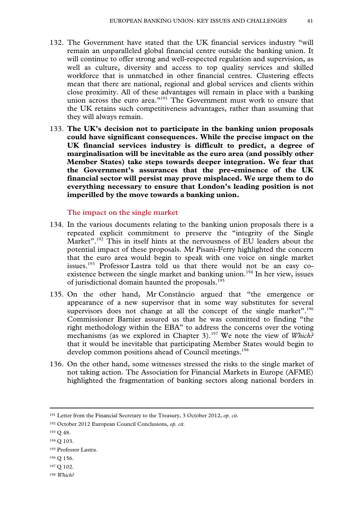- 132. The Government have stated that the UK financial services industry "will remain an unparalleled global financial centre outside the banking union. It will continue to offer strong and well-respected regulation and supervision, as well as culture, diversity and access to top quality services and skilled workforce that is unmatched in other financial centres. Clustering effects mean that there are national, regional and global services and clients within close proximity. All of these advantages will remain in place with a banking union across the euro area."<sup>191</sup> The Government must work to ensure that the UK retains such competitiveness advantages, rather than assuming that they will always remain.
- 133. **The UK's decision not to participate in the banking union proposals could have significant consequences. While the precise impact on the UK financial services industry is difficult to predict, a degree of marginalisation will be inevitable as the euro area (and possibly other Member States) take steps towards deeper integration. We fear that the Government's assurances that the pre-eminence of the UK financial sector will persist may prove misplaced. We urge them to do everything necessary to ensure that London's leading position is not imperilled by the move towards a banking union.**

**The impact on the single market** 

- 134. In the various documents relating to the banking union proposals there is a repeated explicit commitment to preserve the "integrity of the Single Market".<sup>192</sup> This in itself hints at the nervousness of EU leaders about the potential impact of these proposals. Mr Pisani-Ferry highlighted the concern that the euro area would begin to speak with one voice on single market issues.<sup>193</sup> Professor Lastra told us that there would not be an easy coexistence between the single market and banking union.<sup>194</sup> In her view, issues of jurisdictional domain haunted the proposals.<sup>195</sup>
- 135. On the other hand, Mr Constâncio argued that "the emergence or appearance of a new supervisor that in some way substitutes for several supervisors does not change at all the concept of the single market".<sup>196</sup> Commissioner Barnier assured us that he was committed to finding "the right methodology within the EBA" to address the concerns over the voting mechanisms (as we explored in Chapter 3).<sup>197</sup> We note the view of *Which?* that it would be inevitable that participating Member States would begin to develop common positions ahead of Council meetings.<sup>198</sup>
- 136. On the other hand, some witnesses stressed the risks to the single market of not taking action. The Association for Financial Markets in Europe (AFME) highlighted the fragmentation of banking sectors along national borders in

193 Q 48.

- 196 Q 156.
- 197 Q 102.
- <sup>198</sup> *Which?*

 <sup>191</sup> Letter from the Financial Secretary to the Treasury, 3 October 2012, *op. cit*.

<sup>192</sup> October 2012 European Council Conclusions, *op. cit.* 

<sup>194</sup> Q 103.

<sup>195</sup> Professor Lastra.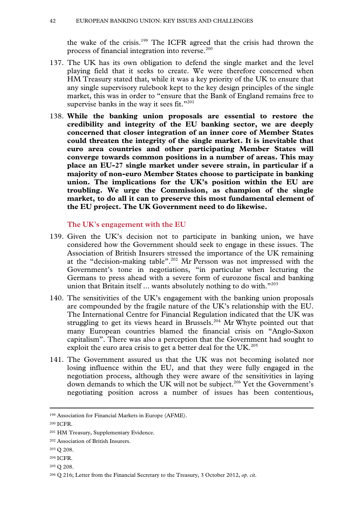the wake of the crisis.199 The ICFR agreed that the crisis had thrown the process of financial integration into reverse.<sup>200</sup>

- 137. The UK has its own obligation to defend the single market and the level playing field that it seeks to create. We were therefore concerned when HM Treasury stated that, while it was a key priority of the UK to ensure that any single supervisory rulebook kept to the key design principles of the single market, this was in order to "ensure that the Bank of England remains free to supervise banks in the way it sees fit."<sup>201</sup>
- 138. **While the banking union proposals are essential to restore the credibility and integrity of the EU banking sector, we are deeply concerned that closer integration of an inner core of Member States could threaten the integrity of the single market. It is inevitable that euro area countries and other participating Member States will converge towards common positions in a number of areas. This may place an EU-27 single market under severe strain, in particular if a majority of non-euro Member States choose to participate in banking union. The implications for the UK's position within the EU are troubling. We urge the Commission, as champion of the single market, to do all it can to preserve this most fundamental element of the EU project. The UK Government need to do likewise.**

#### **The UK's engagement with the EU**

- 139. Given the UK's decision not to participate in banking union, we have considered how the Government should seek to engage in these issues. The Association of British Insurers stressed the importance of the UK remaining at the "decision-making table".<sup>202</sup> Mr Persson was not impressed with the Government's tone in negotiations, "in particular when lecturing the Germans to press ahead with a severe form of eurozone fiscal and banking union that Britain itself ... wants absolutely nothing to do with."<sup>203</sup>
- 140. The sensitivities of the UK's engagement with the banking union proposals are compounded by the fragile nature of the UK's relationship with the EU. The International Centre for Financial Regulation indicated that the UK was struggling to get its views heard in Brussels.<sup>204</sup> Mr Whyte pointed out that many European countries blamed the financial crisis on "Anglo-Saxon capitalism". There was also a perception that the Government had sought to exploit the euro area crisis to get a better deal for the  $UK.^{205}$
- 141. The Government assured us that the UK was not becoming isolated nor losing influence within the EU, and that they were fully engaged in the negotiation process, although they were aware of the sensitivities in laying down demands to which the UK will not be subject.<sup>206</sup> Yet the Government's negotiating position across a number of issues has been contentious,

- 203 Q 208.
- 204 ICFR.
- 205 Q 208.

 <sup>199</sup> Association for Financial Markets in Europe (AFME).

<sup>200</sup> ICFR.

<sup>201</sup> HM Treasury, Supplementary Evidence.

<sup>202</sup> Association of British Insurers.

<sup>206</sup> Q 216; Letter from the Financial Secretary to the Treasury, 3 October 2012, *op. cit*.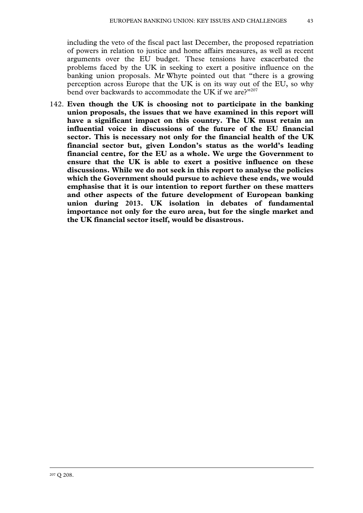including the veto of the fiscal pact last December, the proposed repatriation of powers in relation to justice and home affairs measures, as well as recent arguments over the EU budget. These tensions have exacerbated the problems faced by the UK in seeking to exert a positive influence on the banking union proposals. Mr Whyte pointed out that "there is a growing perception across Europe that the UK is on its way out of the EU, so why bend over backwards to accommodate the UK if we are?"207

142. **Even though the UK is choosing not to participate in the banking union proposals, the issues that we have examined in this report will have a significant impact on this country. The UK must retain an influential voice in discussions of the future of the EU financial sector. This is necessary not only for the financial health of the UK financial sector but, given London's status as the world's leading financial centre, for the EU as a whole. We urge the Government to ensure that the UK is able to exert a positive influence on these discussions. While we do not seek in this report to analyse the policies which the Government should pursue to achieve these ends, we would emphasise that it is our intention to report further on these matters and other aspects of the future development of European banking union during 2013. UK isolation in debates of fundamental importance not only for the euro area, but for the single market and the UK financial sector itself, would be disastrous.**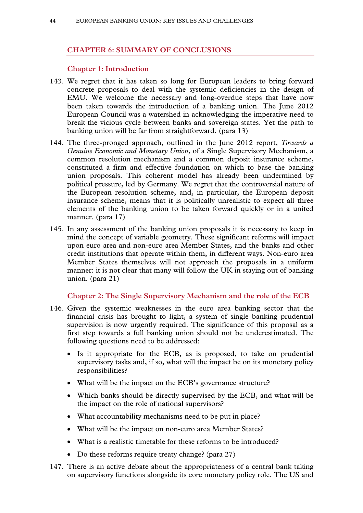# **CHAPTER 6: SUMMARY OF CONCLUSIONS**

#### **Chapter 1: Introduction**

- 143. We regret that it has taken so long for European leaders to bring forward concrete proposals to deal with the systemic deficiencies in the design of EMU. We welcome the necessary and long-overdue steps that have now been taken towards the introduction of a banking union. The June 2012 European Council was a watershed in acknowledging the imperative need to break the vicious cycle between banks and sovereign states. Yet the path to banking union will be far from straightforward. (para 13)
- 144. The three-pronged approach, outlined in the June 2012 report, *Towards a Genuine Economic and Monetary Union*, of a Single Supervisory Mechanism, a common resolution mechanism and a common deposit insurance scheme, constituted a firm and effective foundation on which to base the banking union proposals. This coherent model has already been undermined by political pressure, led by Germany. We regret that the controversial nature of the European resolution scheme, and, in particular, the European deposit insurance scheme, means that it is politically unrealistic to expect all three elements of the banking union to be taken forward quickly or in a united manner. (para 17)
- 145. In any assessment of the banking union proposals it is necessary to keep in mind the concept of variable geometry. These significant reforms will impact upon euro area and non-euro area Member States, and the banks and other credit institutions that operate within them, in different ways. Non-euro area Member States themselves will not approach the proposals in a uniform manner: it is not clear that many will follow the UK in staying out of banking union. (para 21)

# **Chapter 2: The Single Supervisory Mechanism and the role of the ECB**

- 146. Given the systemic weaknesses in the euro area banking sector that the financial crisis has brought to light, a system of single banking prudential supervision is now urgently required. The significance of this proposal as a first step towards a full banking union should not be underestimated. The following questions need to be addressed:
	- Is it appropriate for the ECB, as is proposed, to take on prudential supervisory tasks and, if so, what will the impact be on its monetary policy responsibilities?
	- What will be the impact on the ECB's governance structure?
	- Which banks should be directly supervised by the ECB, and what will be the impact on the role of national supervisors?
	- What accountability mechanisms need to be put in place?
	- What will be the impact on non-euro area Member States?
	- What is a realistic timetable for these reforms to be introduced?
	- Do these reforms require treaty change? (para 27)
- 147. There is an active debate about the appropriateness of a central bank taking on supervisory functions alongside its core monetary policy role. The US and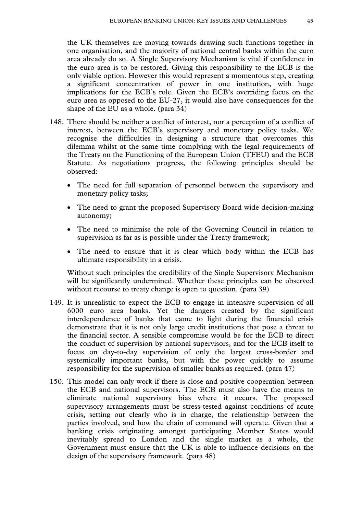the UK themselves are moving towards drawing such functions together in one organisation, and the majority of national central banks within the euro area already do so. A Single Supervisory Mechanism is vital if confidence in the euro area is to be restored. Giving this responsibility to the ECB is the only viable option. However this would represent a momentous step, creating a significant concentration of power in one institution, with huge implications for the ECB's role. Given the ECB's overriding focus on the euro area as opposed to the EU-27, it would also have consequences for the shape of the EU as a whole. (para 34)

- 148. There should be neither a conflict of interest, nor a perception of a conflict of interest, between the ECB's supervisory and monetary policy tasks. We recognise the difficulties in designing a structure that overcomes this dilemma whilst at the same time complying with the legal requirements of the Treaty on the Functioning of the European Union (TFEU) and the ECB Statute. As negotiations progress, the following principles should be observed:
	- The need for full separation of personnel between the supervisory and monetary policy tasks;
	- The need to grant the proposed Supervisory Board wide decision-making autonomy;
	- The need to minimise the role of the Governing Council in relation to supervision as far as is possible under the Treaty framework;
	- The need to ensure that it is clear which body within the ECB has ultimate responsibility in a crisis.

Without such principles the credibility of the Single Supervisory Mechanism will be significantly undermined. Whether these principles can be observed without recourse to treaty change is open to question. (para 39)

- 149. It is unrealistic to expect the ECB to engage in intensive supervision of all 6000 euro area banks. Yet the dangers created by the significant interdependence of banks that came to light during the financial crisis demonstrate that it is not only large credit institutions that pose a threat to the financial sector. A sensible compromise would be for the ECB to direct the conduct of supervision by national supervisors, and for the ECB itself to focus on day-to-day supervision of only the largest cross-border and systemically important banks, but with the power quickly to assume responsibility for the supervision of smaller banks as required. (para 47)
- 150. This model can only work if there is close and positive cooperation between the ECB and national supervisors. The ECB must also have the means to eliminate national supervisory bias where it occurs. The proposed supervisory arrangements must be stress-tested against conditions of acute crisis, setting out clearly who is in charge, the relationship between the parties involved, and how the chain of command will operate. Given that a banking crisis originating amongst participating Member States would inevitably spread to London and the single market as a whole, the Government must ensure that the UK is able to influence decisions on the design of the supervisory framework. (para 48)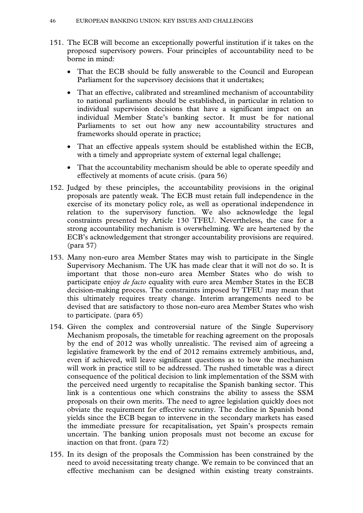- 151. The ECB will become an exceptionally powerful institution if it takes on the proposed supervisory powers. Four principles of accountability need to be borne in mind:
	- That the ECB should be fully answerable to the Council and European Parliament for the supervisory decisions that it undertakes;
	- That an effective, calibrated and streamlined mechanism of accountability to national parliaments should be established, in particular in relation to individual supervision decisions that have a significant impact on an individual Member State's banking sector. It must be for national Parliaments to set out how any new accountability structures and frameworks should operate in practice;
	- That an effective appeals system should be established within the ECB, with a timely and appropriate system of external legal challenge;
	- That the accountability mechanism should be able to operate speedily and effectively at moments of acute crisis. (para 56)
- 152. Judged by these principles, the accountability provisions in the original proposals are patently weak. The ECB must retain full independence in the exercise of its monetary policy role, as well as operational independence in relation to the supervisory function. We also acknowledge the legal constraints presented by Article 130 TFEU. Nevertheless, the case for a strong accountability mechanism is overwhelming. We are heartened by the ECB's acknowledgement that stronger accountability provisions are required. (para 57)
- 153. Many non-euro area Member States may wish to participate in the Single Supervisory Mechanism. The UK has made clear that it will not do so. It is important that those non-euro area Member States who do wish to participate enjoy *de facto* equality with euro area Member States in the ECB decision-making process. The constraints imposed by TFEU may mean that this ultimately requires treaty change. Interim arrangements need to be devised that are satisfactory to those non-euro area Member States who wish to participate. (para 65)
- 154. Given the complex and controversial nature of the Single Supervisory Mechanism proposals, the timetable for reaching agreement on the proposals by the end of 2012 was wholly unrealistic. The revised aim of agreeing a legislative framework by the end of 2012 remains extremely ambitious, and, even if achieved, will leave significant questions as to how the mechanism will work in practice still to be addressed. The rushed timetable was a direct consequence of the political decision to link implementation of the SSM with the perceived need urgently to recapitalise the Spanish banking sector. This link is a contentious one which constrains the ability to assess the SSM proposals on their own merits. The need to agree legislation quickly does not obviate the requirement for effective scrutiny. The decline in Spanish bond yields since the ECB began to intervene in the secondary markets has eased the immediate pressure for recapitalisation, yet Spain's prospects remain uncertain. The banking union proposals must not become an excuse for inaction on that front. (para 72)
- 155. In its design of the proposals the Commission has been constrained by the need to avoid necessitating treaty change. We remain to be convinced that an effective mechanism can be designed within existing treaty constraints.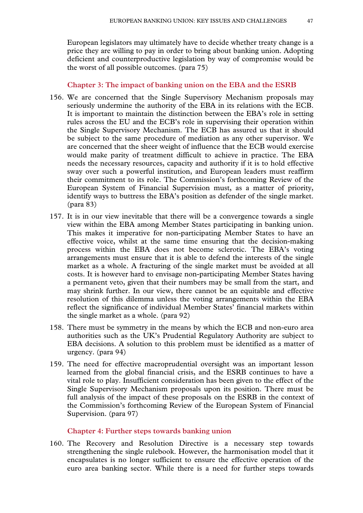European legislators may ultimately have to decide whether treaty change is a price they are willing to pay in order to bring about banking union. Adopting deficient and counterproductive legislation by way of compromise would be the worst of all possible outcomes. (para 75)

**Chapter 3: The impact of banking union on the EBA and the ESRB** 

- 156. We are concerned that the Single Supervisory Mechanism proposals may seriously undermine the authority of the EBA in its relations with the ECB. It is important to maintain the distinction between the EBA's role in setting rules across the EU and the ECB's role in supervising their operation within the Single Supervisory Mechanism. The ECB has assured us that it should be subject to the same procedure of mediation as any other supervisor. We are concerned that the sheer weight of influence that the ECB would exercise would make parity of treatment difficult to achieve in practice. The EBA needs the necessary resources, capacity and authority if it is to hold effective sway over such a powerful institution, and European leaders must reaffirm their commitment to its role. The Commission's forthcoming Review of the European System of Financial Supervision must, as a matter of priority, identify ways to buttress the EBA's position as defender of the single market. (para 83)
- 157. It is in our view inevitable that there will be a convergence towards a single view within the EBA among Member States participating in banking union. This makes it imperative for non-participating Member States to have an effective voice, whilst at the same time ensuring that the decision-making process within the EBA does not become sclerotic. The EBA's voting arrangements must ensure that it is able to defend the interests of the single market as a whole. A fracturing of the single market must be avoided at all costs. It is however hard to envisage non-participating Member States having a permanent veto, given that their numbers may be small from the start, and may shrink further. In our view, there cannot be an equitable and effective resolution of this dilemma unless the voting arrangements within the EBA reflect the significance of individual Member States' financial markets within the single market as a whole. (para 92)
- 158. There must be symmetry in the means by which the ECB and non-euro area authorities such as the UK's Prudential Regulatory Authority are subject to EBA decisions. A solution to this problem must be identified as a matter of urgency. (para 94)
- 159. The need for effective macroprudential oversight was an important lesson learned from the global financial crisis, and the ESRB continues to have a vital role to play. Insufficient consideration has been given to the effect of the Single Supervisory Mechanism proposals upon its position. There must be full analysis of the impact of these proposals on the ESRB in the context of the Commission's forthcoming Review of the European System of Financial Supervision. (para 97)

#### **Chapter 4: Further steps towards banking union**

160. The Recovery and Resolution Directive is a necessary step towards strengthening the single rulebook. However, the harmonisation model that it encapsulates is no longer sufficient to ensure the effective operation of the euro area banking sector. While there is a need for further steps towards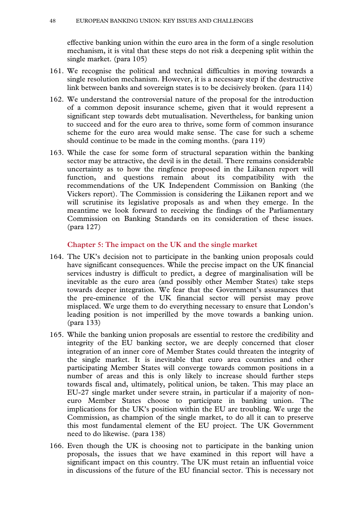effective banking union within the euro area in the form of a single resolution mechanism, it is vital that these steps do not risk a deepening split within the single market. (para 105)

- 161. We recognise the political and technical difficulties in moving towards a single resolution mechanism. However, it is a necessary step if the destructive link between banks and sovereign states is to be decisively broken. (para 114)
- 162. We understand the controversial nature of the proposal for the introduction of a common deposit insurance scheme, given that it would represent a significant step towards debt mutualisation. Nevertheless, for banking union to succeed and for the euro area to thrive, some form of common insurance scheme for the euro area would make sense. The case for such a scheme should continue to be made in the coming months. (para 119)
- 163. While the case for some form of structural separation within the banking sector may be attractive, the devil is in the detail. There remains considerable uncertainty as to how the ringfence proposed in the Liikanen report will function, and questions remain about its compatibility with the recommendations of the UK Independent Commission on Banking (the Vickers report). The Commission is considering the Liikanen report and we will scrutinise its legislative proposals as and when they emerge. In the meantime we look forward to receiving the findings of the Parliamentary Commission on Banking Standards on its consideration of these issues. (para 127)

#### **Chapter 5: The impact on the UK and the single market**

- 164. The UK's decision not to participate in the banking union proposals could have significant consequences. While the precise impact on the UK financial services industry is difficult to predict, a degree of marginalisation will be inevitable as the euro area (and possibly other Member States) take steps towards deeper integration. We fear that the Government's assurances that the pre-eminence of the UK financial sector will persist may prove misplaced. We urge them to do everything necessary to ensure that London's leading position is not imperilled by the move towards a banking union. (para 133)
- 165. While the banking union proposals are essential to restore the credibility and integrity of the EU banking sector, we are deeply concerned that closer integration of an inner core of Member States could threaten the integrity of the single market. It is inevitable that euro area countries and other participating Member States will converge towards common positions in a number of areas and this is only likely to increase should further steps towards fiscal and, ultimately, political union, be taken. This may place an EU-27 single market under severe strain, in particular if a majority of noneuro Member States choose to participate in banking union. The implications for the UK's position within the EU are troubling. We urge the Commission, as champion of the single market, to do all it can to preserve this most fundamental element of the EU project. The UK Government need to do likewise. (para 138)
- 166. Even though the UK is choosing not to participate in the banking union proposals, the issues that we have examined in this report will have a significant impact on this country. The UK must retain an influential voice in discussions of the future of the EU financial sector. This is necessary not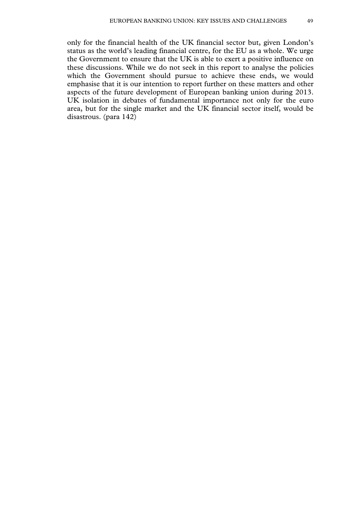only for the financial health of the UK financial sector but, given London's status as the world's leading financial centre, for the EU as a whole. We urge the Government to ensure that the UK is able to exert a positive influence on these discussions. While we do not seek in this report to analyse the policies which the Government should pursue to achieve these ends, we would emphasise that it is our intention to report further on these matters and other aspects of the future development of European banking union during 2013. UK isolation in debates of fundamental importance not only for the euro area, but for the single market and the UK financial sector itself, would be disastrous. (para 142)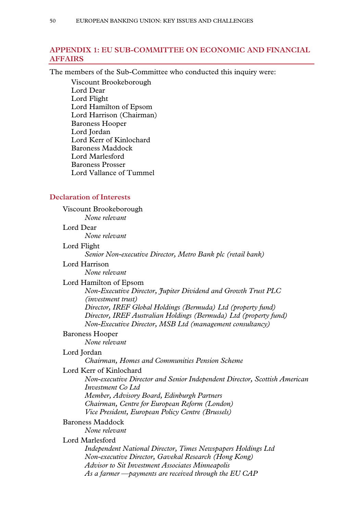# **APPENDIX 1: EU SUB-COMMITTEE ON ECONOMIC AND FINANCIAL AFFAIRS**

The members of the Sub-Committee who conducted this inquiry were:

Viscount Brookeborough Lord Dear Lord Flight Lord Hamilton of Epsom Lord Harrison (Chairman) Baroness Hooper Lord Jordan Lord Kerr of Kinlochard Baroness Maddock Lord Marlesford Baroness Prosser Lord Vallance of Tummel

#### **Declaration of Interests**

Viscount Brookeborough *None relevant* 

#### Lord Dear

*None relevant* 

#### Lord Flight

*Senior Non-executive Director, Metro Bank plc (retail bank)* 

Lord Harrison

*None relevant* 

#### Lord Hamilton of Epsom

*Non-Executive Director, Jupiter Dividend and Growth Trust PLC (investment trust) Director, IREF Global Holdings (Bermuda) Ltd (property fund)* 

*Director, IREF Australian Holdings (Bermuda) Ltd (property fund) Non-Executive Director, MSB Ltd (management consultancy)* 

# Baroness Hooper

*None relevant* 

# Lord Jordan

*Chairman, Homes and Communities Pension Scheme* 

# Lord Kerr of Kinlochard

*Non-executive Director and Senior Independent Director, Scottish American Investment Co Ltd Member, Advisory Board, Edinburgh Partners Chairman, Centre for European Reform (London) Vice President, European Policy Centre (Brussels)* 

#### Baroness Maddock

*None relevant* 

#### Lord Marlesford

*Independent National Director, Times Newspapers Holdings Ltd Non-executive Director, Gavekal Research (Hong Kong) Advisor to Sit Investment Associates Minneapolis As a farmer —payments are received through the EU CAP*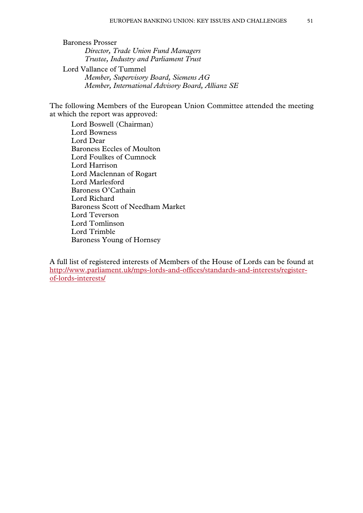Baroness Prosser *Director, Trade Union Fund Managers Trustee, Industry and Parliament Trust*  Lord Vallance of Tummel *Member, Supervisory Board, Siemens AG Member, International Advisory Board, Allianz SE* 

The following Members of the European Union Committee attended the meeting at which the report was approved:

Lord Boswell (Chairman) Lord Bowness Lord Dear Baroness Eccles of Moulton Lord Foulkes of Cumnock Lord Harrison Lord Maclennan of Rogart Lord Marlesford Baroness O'Cathain Lord Richard Baroness Scott of Needham Market Lord Teverson Lord Tomlinson Lord Trimble Baroness Young of Hornsey

A full list of registered interests of Members of the House of Lords can be found at http://www.parliament.uk/mps-lords-and-offices/standards-and-interests/registerof-lords-interests/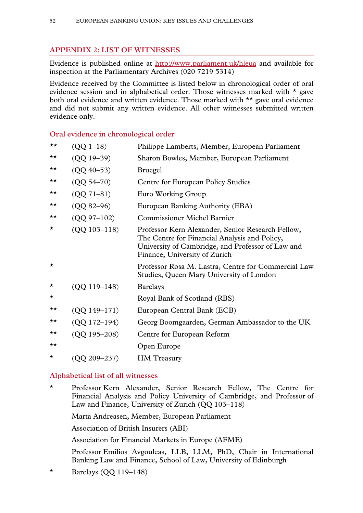# **APPENDIX 2: LIST OF WITNESSES**

Evidence is published online at http://www.parliament.uk/hleua and available for inspection at the Parliamentary Archives (020 7219 5314)

Evidence received by the Committee is listed below in chronological order of oral evidence session and in alphabetical order. Those witnesses marked with \* gave both oral evidence and written evidence. Those marked with \*\* gave oral evidence and did not submit any written evidence. All other witnesses submitted written evidence only.

# **Oral evidence in chronological order**

| $\star\star$ | $(QQ 1-18)$      | Philippe Lamberts, Member, European Parliament                                                                                                                                           |
|--------------|------------------|------------------------------------------------------------------------------------------------------------------------------------------------------------------------------------------|
| ★★           | $(QQ 19 - 39)$   | Sharon Bowles, Member, European Parliament                                                                                                                                               |
| ★★           | $(QQ 40 - 53)$   | <b>Bruegel</b>                                                                                                                                                                           |
| ★★           | $(QQ 54 - 70)$   | Centre for European Policy Studies                                                                                                                                                       |
| ★★           | $(QQ 71 - 81)$   | Euro Working Group                                                                                                                                                                       |
| ★★           | $(QQ 82 - 96)$   | European Banking Authority (EBA)                                                                                                                                                         |
| ★★           | $(QQ 97-102)$    | <b>Commissioner Michel Barnier</b>                                                                                                                                                       |
| $\star$      | $(QQ 103 - 118)$ | Professor Kern Alexander, Senior Research Fellow,<br>The Centre for Financial Analysis and Policy,<br>University of Cambridge, and Professor of Law and<br>Finance, University of Zurich |
| $\star$      |                  | Professor Rosa M. Lastra, Centre for Commercial Law<br>Studies, Queen Mary University of London                                                                                          |
| $\star$      | $(QQ 119-148)$   | <b>Barclays</b>                                                                                                                                                                          |
| $^\star$     |                  | Royal Bank of Scotland (RBS)                                                                                                                                                             |
| ★★           | (QQ 149-171)     | European Central Bank (ECB)                                                                                                                                                              |
| ★★           | $(QQ 172 - 194)$ | Georg Boomgaarden, German Ambassador to the UK                                                                                                                                           |
| ★★           | $(QQ 195 - 208)$ | Centre for European Reform                                                                                                                                                               |
| ★★           |                  | Open Europe                                                                                                                                                                              |
| $\star$      | (QQ 209–237)     | <b>HM</b> Treasury                                                                                                                                                                       |

# **Alphabetical list of all witnesses**

\* Professor Kern Alexander, Senior Research Fellow, The Centre for Financial Analysis and Policy University of Cambridge, and Professor of Law and Finance, University of Zurich (QQ 103–118)

Marta Andreasen, Member, European Parliament

Association of British Insurers (ABI)

Association for Financial Markets in Europe (AFME)

 Professor Emilios Avgouleas, LLB, LLM, PhD, Chair in International Banking Law and Finance, School of Law, University of Edinburgh

 $\star$  Barclays (QQ 119–148)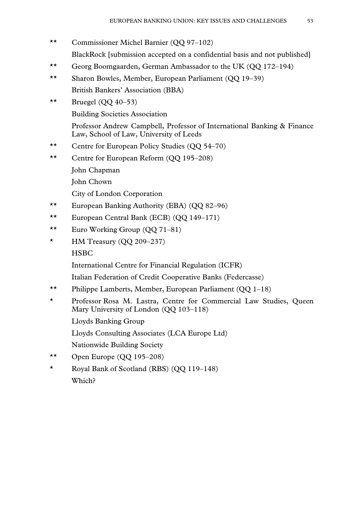- \*\* Commissioner Michel Barnier (QQ 97–102) BlackRock [submission accepted on a confidential basis and not published]
- \*\* Georg Boomgaarden, German Ambassador to the UK (QQ 172–194)
- \*\* Sharon Bowles, Member, European Parliament (QQ 19–39) British Bankers' Association (BBA)
- \*\* Bruegel  $(QQ 40-53)$

Building Societies Association

 Professor Andrew Campbell, Professor of International Banking & Finance Law, School of Law, University of Leeds

- \*\* Centre for European Policy Studies (QQ 54–70)
- \*\* Centre for European Reform (QQ 195–208)
	- John Chapman

John Chown

City of London Corporation

- \*\* European Banking Authority (EBA) (QQ 82–96)
- \*\* European Central Bank (ECB) (QQ 149–171)
- \*\* Euro Working Group (QQ 71–81)
- \* HM Treasury (QQ 209–237) **HSBC**

International Centre for Financial Regulation (ICFR)

Italian Federation of Credit Cooperative Banks (Federcasse)

- \*\* Philippe Lamberts, Member, European Parliament (QQ 1–18)
- \* Professor Rosa M. Lastra, Centre for Commercial Law Studies, Queen Mary University of London (QQ 103–118)

Lloyds Banking Group

Lloyds Consulting Associates (LCA Europe Ltd)

Nationwide Building Society

- \*\* Open Europe (QQ 195–208)
- \* Royal Bank of Scotland (RBS) (QQ 119–148) Which?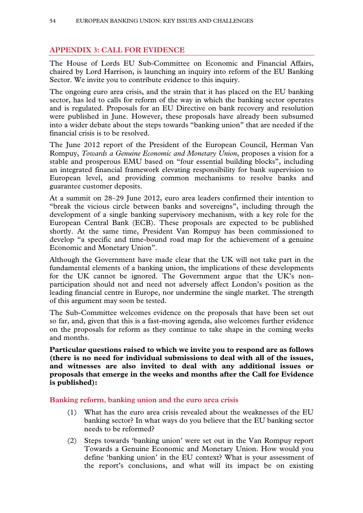# **APPENDIX 3: CALL FOR EVIDENCE**

The House of Lords EU Sub-Committee on Economic and Financial Affairs, chaired by Lord Harrison, is launching an inquiry into reform of the EU Banking Sector. We invite you to contribute evidence to this inquiry.

The ongoing euro area crisis, and the strain that it has placed on the EU banking sector, has led to calls for reform of the way in which the banking sector operates and is regulated. Proposals for an EU Directive on bank recovery and resolution were published in June. However, these proposals have already been subsumed into a wider debate about the steps towards "banking union" that are needed if the financial crisis is to be resolved.

The June 2012 report of the President of the European Council, Herman Van Rompuy, *Towards a Genuine Economic and Monetary Union*, proposes a vision for a stable and prosperous EMU based on "four essential building blocks", including an integrated financial framework elevating responsibility for bank supervision to European level, and providing common mechanisms to resolve banks and guarantee customer deposits.

At a summit on 28–29 June 2012, euro area leaders confirmed their intention to "break the vicious circle between banks and sovereigns", including through the development of a single banking supervisory mechanism, with a key role for the European Central Bank (ECB). These proposals are expected to be published shortly. At the same time, President Van Rompuy has been commissioned to develop "a specific and time-bound road map for the achievement of a genuine Economic and Monetary Union".

Although the Government have made clear that the UK will not take part in the fundamental elements of a banking union, the implications of these developments for the UK cannot be ignored. The Government argue that the UK's nonparticipation should not and need not adversely affect London's position as the leading financial centre in Europe, nor undermine the single market. The strength of this argument may soon be tested.

The Sub-Committee welcomes evidence on the proposals that have been set out so far, and, given that this is a fast-moving agenda, also welcomes further evidence on the proposals for reform as they continue to take shape in the coming weeks and months.

**Particular questions raised to which we invite you to respond are as follows (there is no need for individual submissions to deal with all of the issues, and witnesses are also invited to deal with any additional issues or proposals that emerge in the weeks and months after the Call for Evidence is published):** 

**Banking reform, banking union and the euro area crisis** 

- (1) What has the euro area crisis revealed about the weaknesses of the EU banking sector? In what ways do you believe that the EU banking sector needs to be reformed?
- (2) Steps towards 'banking union' were set out in the Van Rompuy report Towards a Genuine Economic and Monetary Union. How would you define 'banking union' in the EU context? What is your assessment of the report's conclusions, and what will its impact be on existing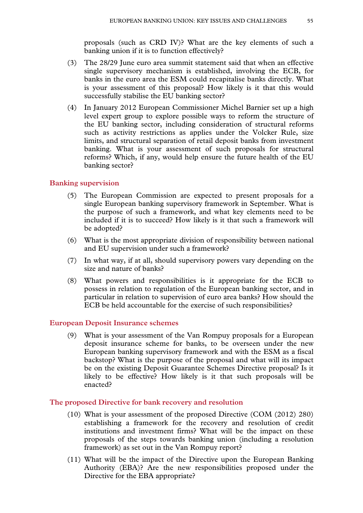proposals (such as CRD IV)? What are the key elements of such a banking union if it is to function effectively?

- (3) The 28/29 June euro area summit statement said that when an effective single supervisory mechanism is established, involving the ECB, for banks in the euro area the ESM could recapitalise banks directly. What is your assessment of this proposal? How likely is it that this would successfully stabilise the EU banking sector?
- (4) In January 2012 European Commissioner Michel Barnier set up a high level expert group to explore possible ways to reform the structure of the EU banking sector, including consideration of structural reforms such as activity restrictions as applies under the Volcker Rule, size limits, and structural separation of retail deposit banks from investment banking. What is your assessment of such proposals for structural reforms? Which, if any, would help ensure the future health of the EU banking sector?

#### **Banking supervision**

- (5) The European Commission are expected to present proposals for a single European banking supervisory framework in September. What is the purpose of such a framework, and what key elements need to be included if it is to succeed? How likely is it that such a framework will be adopted?
- (6) What is the most appropriate division of responsibility between national and EU supervision under such a framework?
- (7) In what way, if at all, should supervisory powers vary depending on the size and nature of banks?
- (8) What powers and responsibilities is it appropriate for the ECB to possess in relation to regulation of the European banking sector, and in particular in relation to supervision of euro area banks? How should the ECB be held accountable for the exercise of such responsibilities?

#### **European Deposit Insurance schemes**

(9) What is your assessment of the Van Rompuy proposals for a European deposit insurance scheme for banks, to be overseen under the new European banking supervisory framework and with the ESM as a fiscal backstop? What is the purpose of the proposal and what will its impact be on the existing Deposit Guarantee Schemes Directive proposal? Is it likely to be effective? How likely is it that such proposals will be enacted?

#### **The proposed Directive for bank recovery and resolution**

- (10) What is your assessment of the proposed Directive (COM (2012) 280) establishing a framework for the recovery and resolution of credit institutions and investment firms? What will be the impact on these proposals of the steps towards banking union (including a resolution framework) as set out in the Van Rompuy report?
- (11) What will be the impact of the Directive upon the European Banking Authority (EBA)? Are the new responsibilities proposed under the Directive for the EBA appropriate?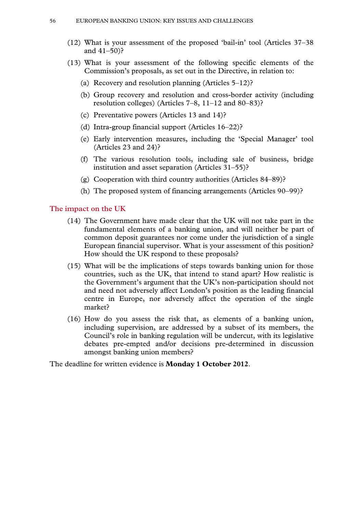- (12) What is your assessment of the proposed 'bail-in' tool (Articles 37–38 and 41–50)?
- (13) What is your assessment of the following specific elements of the Commission's proposals, as set out in the Directive, in relation to:
	- (a) Recovery and resolution planning (Articles 5–12)?
	- (b) Group recovery and resolution and cross-border activity (including resolution colleges) (Articles 7–8, 11–12 and 80–83)?
	- (c) Preventative powers (Articles 13 and 14)?
	- (d) Intra-group financial support (Articles 16–22)?
	- (e) Early intervention measures, including the 'Special Manager' tool (Articles 23 and 24)?
	- (f) The various resolution tools, including sale of business, bridge institution and asset separation (Articles 31–55)?
	- (g) Cooperation with third country authorities (Articles 84–89)?
	- (h) The proposed system of financing arrangements (Articles 90–99)?

#### **The impact on the UK**

- (14) The Government have made clear that the UK will not take part in the fundamental elements of a banking union, and will neither be part of common deposit guarantees nor come under the jurisdiction of a single European financial supervisor. What is your assessment of this position? How should the UK respond to these proposals?
- (15) What will be the implications of steps towards banking union for those countries, such as the UK, that intend to stand apart? How realistic is the Government's argument that the UK's non-participation should not and need not adversely affect London's position as the leading financial centre in Europe, nor adversely affect the operation of the single market?
- (16) How do you assess the risk that, as elements of a banking union, including supervision, are addressed by a subset of its members, the Council's role in banking regulation will be undercut, with its legislative debates pre-empted and/or decisions pre-determined in discussion amongst banking union members?

The deadline for written evidence is **Monday 1 October 2012**.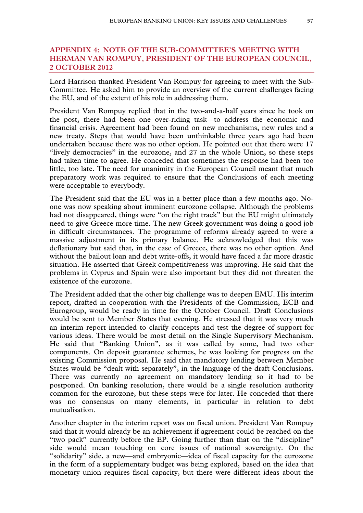# **APPENDIX 4: NOTE OF THE SUB-COMMITTEE'S MEETING WITH HERMAN VAN ROMPUY, PRESIDENT OF THE EUROPEAN COUNCIL, 2 OCTOBER 2012**

Lord Harrison thanked President Van Rompuy for agreeing to meet with the Sub-Committee. He asked him to provide an overview of the current challenges facing the EU, and of the extent of his role in addressing them.

President Van Rompuy replied that in the two-and-a-half years since he took on the post, there had been one over-riding task—to address the economic and financial crisis. Agreement had been found on new mechanisms, new rules and a new treaty. Steps that would have been unthinkable three years ago had been undertaken because there was no other option. He pointed out that there were 17 "lively democracies" in the eurozone, and 27 in the whole Union, so these steps had taken time to agree. He conceded that sometimes the response had been too little, too late. The need for unanimity in the European Council meant that much preparatory work was required to ensure that the Conclusions of each meeting were acceptable to everybody.

The President said that the EU was in a better place than a few months ago. Noone was now speaking about imminent eurozone collapse. Although the problems had not disappeared, things were "on the right track" but the EU might ultimately need to give Greece more time. The new Greek government was doing a good job in difficult circumstances. The programme of reforms already agreed to were a massive adjustment in its primary balance. He acknowledged that this was deflationary but said that, in the case of Greece, there was no other option. And without the bailout loan and debt write-offs, it would have faced a far more drastic situation. He asserted that Greek competitiveness was improving. He said that the problems in Cyprus and Spain were also important but they did not threaten the existence of the eurozone.

The President added that the other big challenge was to deepen EMU. His interim report, drafted in cooperation with the Presidents of the Commission, ECB and Eurogroup, would be ready in time for the October Council. Draft Conclusions would be sent to Member States that evening. He stressed that it was very much an interim report intended to clarify concepts and test the degree of support for various ideas. There would be most detail on the Single Supervisory Mechanism. He said that "Banking Union", as it was called by some, had two other components. On deposit guarantee schemes, he was looking for progress on the existing Commission proposal. He said that mandatory lending between Member States would be "dealt with separately", in the language of the draft Conclusions. There was currently no agreement on mandatory lending so it had to be postponed. On banking resolution, there would be a single resolution authority common for the eurozone, but these steps were for later. He conceded that there was no consensus on many elements, in particular in relation to debt mutualisation.

Another chapter in the interim report was on fiscal union. President Van Rompuy said that it would already be an achievement if agreement could be reached on the "two pack" currently before the EP. Going further than that on the "discipline" side would mean touching on core issues of national sovereignty. On the "solidarity" side, a new—and embryonic—idea of fiscal capacity for the eurozone in the form of a supplementary budget was being explored, based on the idea that monetary union requires fiscal capacity, but there were different ideas about the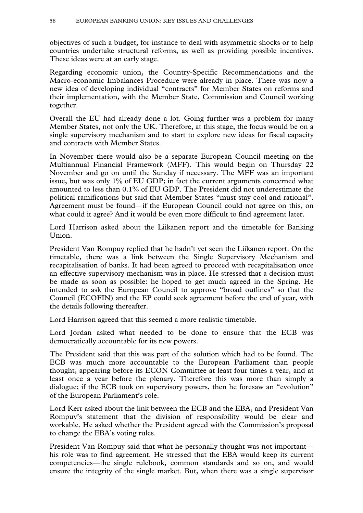objectives of such a budget, for instance to deal with asymmetric shocks or to help countries undertake structural reforms, as well as providing possible incentives. These ideas were at an early stage.

Regarding economic union, the Country-Specific Recommendations and the Macro-economic Imbalances Procedure were already in place. There was now a new idea of developing individual "contracts" for Member States on reforms and their implementation, with the Member State, Commission and Council working together.

Overall the EU had already done a lot. Going further was a problem for many Member States, not only the UK. Therefore, at this stage, the focus would be on a single supervisory mechanism and to start to explore new ideas for fiscal capacity and contracts with Member States.

In November there would also be a separate European Council meeting on the Multiannual Financial Framework (MFF). This would begin on Thursday 22 November and go on until the Sunday if necessary. The MFF was an important issue, but was only 1% of EU GDP; in fact the current arguments concerned what amounted to less than 0.1% of EU GDP. The President did not underestimate the political ramifications but said that Member States "must stay cool and rational". Agreement must be found—if the European Council could not agree on this, on what could it agree? And it would be even more difficult to find agreement later.

Lord Harrison asked about the Liikanen report and the timetable for Banking Union.

President Van Rompuy replied that he hadn't yet seen the Liikanen report. On the timetable, there was a link between the Single Supervisory Mechanism and recapitalisation of banks. It had been agreed to proceed with recapitalisation once an effective supervisory mechanism was in place. He stressed that a decision must be made as soon as possible: he hoped to get much agreed in the Spring. He intended to ask the European Council to approve "broad outlines" so that the Council (ECOFIN) and the EP could seek agreement before the end of year, with the details following thereafter.

Lord Harrison agreed that this seemed a more realistic timetable.

Lord Jordan asked what needed to be done to ensure that the ECB was democratically accountable for its new powers.

The President said that this was part of the solution which had to be found. The ECB was much more accountable to the European Parliament than people thought, appearing before its ECON Committee at least four times a year, and at least once a year before the plenary. Therefore this was more than simply a dialogue; if the ECB took on supervisory powers, then he foresaw an "evolution" of the European Parliament's role.

Lord Kerr asked about the link between the ECB and the EBA, and President Van Rompuy's statement that the division of responsibility would be clear and workable. He asked whether the President agreed with the Commission's proposal to change the EBA's voting rules.

President Van Rompuy said that what he personally thought was not important his role was to find agreement. He stressed that the EBA would keep its current competencies—the single rulebook, common standards and so on, and would ensure the integrity of the single market. But, when there was a single supervisor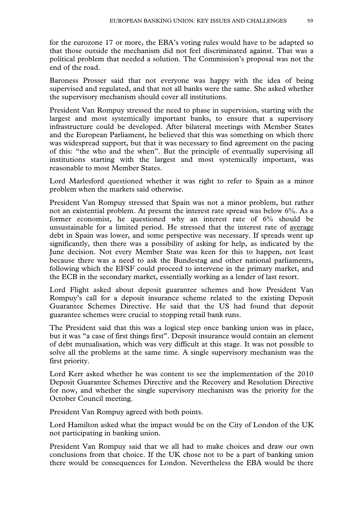for the eurozone 17 or more, the EBA's voting rules would have to be adapted so that those outside the mechanism did not feel discriminated against. That was a political problem that needed a solution. The Commission's proposal was not the end of the road.

Baroness Prosser said that not everyone was happy with the idea of being supervised and regulated, and that not all banks were the same. She asked whether the supervisory mechanism should cover all institutions.

President Van Rompuy stressed the need to phase in supervision, starting with the largest and most systemically important banks, to ensure that a supervisory infrastructure could be developed. After bilateral meetings with Member States and the European Parliament, he believed that this was something on which there was widespread support, but that it was necessary to find agreement on the pacing of this: "the who and the when". But the principle of eventually supervising all institutions starting with the largest and most systemically important, was reasonable to most Member States.

Lord Marlesford questioned whether it was right to refer to Spain as a minor problem when the markets said otherwise.

President Van Rompuy stressed that Spain was not a minor problem, but rather not an existential problem. At present the interest rate spread was below 6%. As a former economist, he questioned why an interest rate of 6% should be unsustainable for a limited period. He stressed that the interest rate of average debt in Spain was lower, and some perspective was necessary. If spreads went up significantly, then there was a possibility of asking for help, as indicated by the June decision. Not every Member State was keen for this to happen, not least because there was a need to ask the Bundestag and other national parliaments, following which the EFSF could proceed to intervene in the primary market, and the ECB in the secondary market, essentially working as a lender of last resort.

Lord Flight asked about deposit guarantee schemes and how President Van Rompuy's call for a deposit insurance scheme related to the existing Deposit Guarantee Schemes Directive. He said that the US had found that deposit guarantee schemes were crucial to stopping retail bank runs.

The President said that this was a logical step once banking union was in place, but it was "a case of first things first". Deposit insurance would contain an element of debt mutualisation, which was very difficult at this stage. It was not possible to solve all the problems at the same time. A single supervisory mechanism was the first priority.

Lord Kerr asked whether he was content to see the implementation of the 2010 Deposit Guarantee Schemes Directive and the Recovery and Resolution Directive for now, and whether the single supervisory mechanism was the priority for the October Council meeting.

President Van Rompuy agreed with both points.

Lord Hamilton asked what the impact would be on the City of London of the UK not participating in banking union.

President Van Rompuy said that we all had to make choices and draw our own conclusions from that choice. If the UK chose not to be a part of banking union there would be consequences for London. Nevertheless the EBA would be there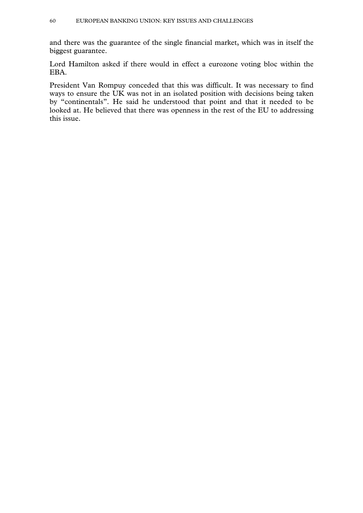and there was the guarantee of the single financial market, which was in itself the biggest guarantee.

Lord Hamilton asked if there would in effect a eurozone voting bloc within the EBA.

President Van Rompuy conceded that this was difficult. It was necessary to find ways to ensure the UK was not in an isolated position with decisions being taken by "continentals". He said he understood that point and that it needed to be looked at. He believed that there was openness in the rest of the EU to addressing this issue.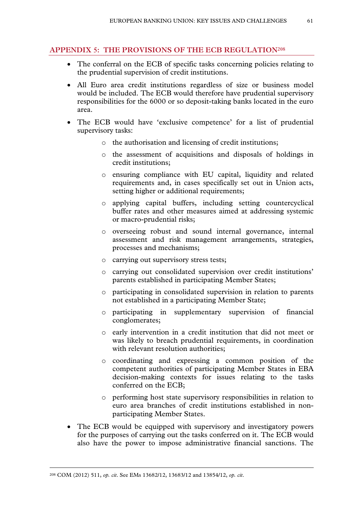# **APPENDIX 5: THE PROVISIONS OF THE ECB REGULATION208**

- The conferral on the ECB of specific tasks concerning policies relating to the prudential supervision of credit institutions.
- All Euro area credit institutions regardless of size or business model would be included. The ECB would therefore have prudential supervisory responsibilities for the 6000 or so deposit-taking banks located in the euro area.
- The ECB would have 'exclusive competence' for a list of prudential supervisory tasks:
	- o the authorisation and licensing of credit institutions;
	- o the assessment of acquisitions and disposals of holdings in credit institutions;
	- o ensuring compliance with EU capital, liquidity and related requirements and, in cases specifically set out in Union acts, setting higher or additional requirements;
	- o applying capital buffers, including setting countercyclical buffer rates and other measures aimed at addressing systemic or macro-prudential risks;
	- o overseeing robust and sound internal governance, internal assessment and risk management arrangements, strategies, processes and mechanisms;
	- o carrying out supervisory stress tests;
	- o carrying out consolidated supervision over credit institutions' parents established in participating Member States;
	- o participating in consolidated supervision in relation to parents not established in a participating Member State;
	- o participating in supplementary supervision of financial conglomerates;
	- o early intervention in a credit institution that did not meet or was likely to breach prudential requirements, in coordination with relevant resolution authorities;
	- o coordinating and expressing a common position of the competent authorities of participating Member States in EBA decision-making contexts for issues relating to the tasks conferred on the ECB;
	- o performing host state supervisory responsibilities in relation to euro area branches of credit institutions established in nonparticipating Member States.
- The ECB would be equipped with supervisory and investigatory powers for the purposes of carrying out the tasks conferred on it. The ECB would also have the power to impose administrative financial sanctions. The

 <sup>208</sup> COM (2012) 511, *op. cit*. See EMs 13682/12, 13683/12 and 13854/12, *op. cit*.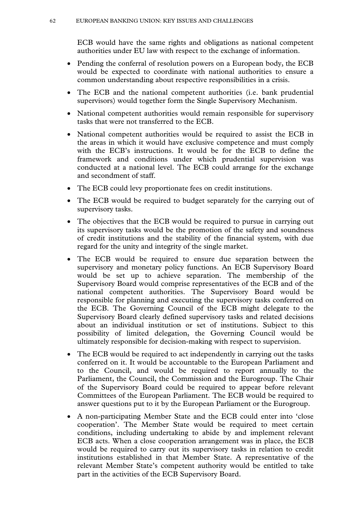ECB would have the same rights and obligations as national competent authorities under EU law with respect to the exchange of information.

- Pending the conferral of resolution powers on a European body, the ECB would be expected to coordinate with national authorities to ensure a common understanding about respective responsibilities in a crisis.
- The ECB and the national competent authorities (i.e. bank prudential supervisors) would together form the Single Supervisory Mechanism.
- National competent authorities would remain responsible for supervisory tasks that were not transferred to the ECB.
- National competent authorities would be required to assist the ECB in the areas in which it would have exclusive competence and must comply with the ECB's instructions. It would be for the ECB to define the framework and conditions under which prudential supervision was conducted at a national level. The ECB could arrange for the exchange and secondment of staff.
- The ECB could levy proportionate fees on credit institutions.
- The ECB would be required to budget separately for the carrying out of supervisory tasks.
- The objectives that the ECB would be required to pursue in carrying out its supervisory tasks would be the promotion of the safety and soundness of credit institutions and the stability of the financial system, with due regard for the unity and integrity of the single market.
- The ECB would be required to ensure due separation between the supervisory and monetary policy functions. An ECB Supervisory Board would be set up to achieve separation. The membership of the Supervisory Board would comprise representatives of the ECB and of the national competent authorities. The Supervisory Board would be responsible for planning and executing the supervisory tasks conferred on the ECB. The Governing Council of the ECB might delegate to the Supervisory Board clearly defined supervisory tasks and related decisions about an individual institution or set of institutions. Subject to this possibility of limited delegation, the Governing Council would be ultimately responsible for decision-making with respect to supervision.
- The ECB would be required to act independently in carrying out the tasks conferred on it. It would be accountable to the European Parliament and to the Council, and would be required to report annually to the Parliament, the Council, the Commission and the Eurogroup. The Chair of the Supervisory Board could be required to appear before relevant Committees of the European Parliament. The ECB would be required to answer questions put to it by the European Parliament or the Eurogroup.
- A non-participating Member State and the ECB could enter into 'close cooperation'. The Member State would be required to meet certain conditions, including undertaking to abide by and implement relevant ECB acts. When a close cooperation arrangement was in place, the ECB would be required to carry out its supervisory tasks in relation to credit institutions established in that Member State. A representative of the relevant Member State's competent authority would be entitled to take part in the activities of the ECB Supervisory Board.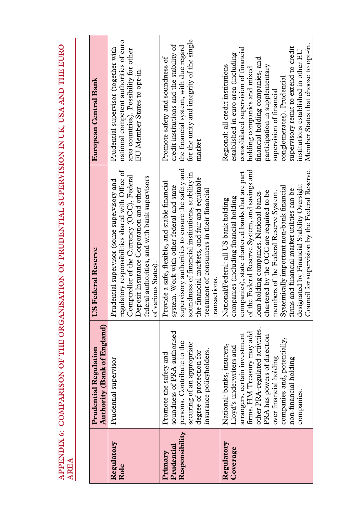**APPENDIX 6: COMPARISON OF THE ORGANISATION OF PRUDENTIAL SUPERVISION IN UK, USA AND THE EURO**  APENDIX 6: COMPARISON OF THE ORGANISATION OF PRUDENTIAL SUPERVISION IN UK, USA AND THE EURO<br>AREA

|                                         | <b>Authority (Bank of England)</b><br><b>Prudential Regulation</b>                                                                                                                                                                                                                      | <b>US Federal Reserve</b>                                                                                                                                                                                                                                                                                                                                                                                                                                                                                        | European Central Bank                                                                                                                                                                                                                                                                                                                                                                                     |
|-----------------------------------------|-----------------------------------------------------------------------------------------------------------------------------------------------------------------------------------------------------------------------------------------------------------------------------------------|------------------------------------------------------------------------------------------------------------------------------------------------------------------------------------------------------------------------------------------------------------------------------------------------------------------------------------------------------------------------------------------------------------------------------------------------------------------------------------------------------------------|-----------------------------------------------------------------------------------------------------------------------------------------------------------------------------------------------------------------------------------------------------------------------------------------------------------------------------------------------------------------------------------------------------------|
| Regulatory<br>Role                      | Prudential supervisor                                                                                                                                                                                                                                                                   | regulatory responsibilities shared with Office of<br>Comptroller of the Currency (OCC), Federal<br>federal authorities, and with bank supervisors<br>Prudential supervisor (some supervisory and<br>Deposit Insurance Corporation and other<br>of various States).                                                                                                                                                                                                                                               | national competent authorities of euro<br>Prudential supervisor (together with<br>area countries). Possibility for other<br>EU Member States to opt-in.                                                                                                                                                                                                                                                   |
| Responsibility<br>Prudential<br>Primary | soundness of PRA-authorised<br>persons. Contribute to the<br>securing of an appropriate<br>insurance policyholders.<br>degree of protection for<br>Promote the safety and                                                                                                               | supervisory authorities to ensure the safety and<br>soundness of financial institutions, stability in<br>the financial markets, and fair and equitable<br>Provide a safe, flexible, and stable financial<br>system. Work with other federal and state<br>treatment of consumers in their financial<br>transactions.                                                                                                                                                                                              | for the unity and integrity of the single<br>credit institutions and the stability of<br>the financial system, with due regard<br>Promote safety and soundness of<br>market                                                                                                                                                                                                                               |
| Regulatory<br>Coverage                  | other PRA-regulated activities.<br>firms. HM Treasury may add<br>arrangers, certain investment<br>PRA has powers of direction<br>companies and, potentially,<br>National: banks, insurers,<br>Lloyd's underwriters and<br>over financial holding<br>non-financial holding<br>companies. | Council for supervision by the Federal Reserve.<br>of the Federal Reserve System, and savings and<br>companies), state chartered banks that are part<br>designated by Financial Stability Oversight<br>Systemically important non-bank financial<br>firms and financial market utilities can be<br>chartered by the OCC are required to be<br>loan holding companies. National banks<br>members of the Federal Reserve System<br>companies (including financial holding<br>National/Federal: all US bank holding | Member States that choose to opt-in.<br>supervisory remit to extend to credit<br>consolidated supervision of financial<br>institutions established in other EU<br>established in euro area (including<br>financial holding companies, and<br>Regional: all credit institutions<br>participation in supplementary<br>holding companies and mixed<br>conglomerates). Prudential<br>supervision of financial |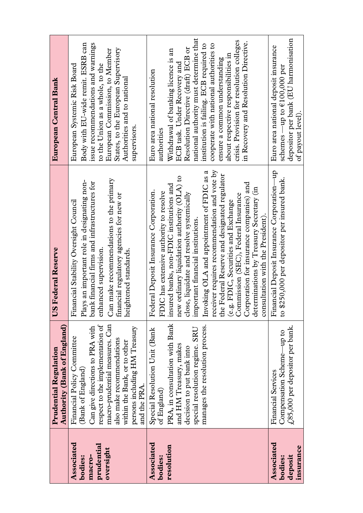|                                                            | <b>Authority (Bank of England)</b><br><b>Prudential Regulation</b>                                                                                                                                                                                                     | <b>US Federal Reserve</b>                                                                                                                                                                                                                                                                                                                                                                                                                                                                                                                                                                                                                                      | European Central Bank                                                                                                                                                                                                                                                                                                                                                                                                                                    |
|------------------------------------------------------------|------------------------------------------------------------------------------------------------------------------------------------------------------------------------------------------------------------------------------------------------------------------------|----------------------------------------------------------------------------------------------------------------------------------------------------------------------------------------------------------------------------------------------------------------------------------------------------------------------------------------------------------------------------------------------------------------------------------------------------------------------------------------------------------------------------------------------------------------------------------------------------------------------------------------------------------------|----------------------------------------------------------------------------------------------------------------------------------------------------------------------------------------------------------------------------------------------------------------------------------------------------------------------------------------------------------------------------------------------------------------------------------------------------------|
| Associated<br>prudential<br>oversight<br>bodies:<br>macro- | macro-prudential measures. Can<br>respect to the implementation of<br>Can give directions to PRA with<br>persons including HM Treasury<br>Financial Policy Committee<br>also make recommendations<br>within the Bank, or to other<br>(Bank of England)<br>and the PRA. | Can make recommendations to the primary<br>Plays an important role in designating non-<br>bank financial firms and infrastructures for<br>financial regulatory agencies for new or<br>Financial Stability Oversight Council<br>enhanced supervision.<br>heightened standards.                                                                                                                                                                                                                                                                                                                                                                                  | Body with EU-wide remit. ESRB can<br>issue recommendations and warnings<br>States, to the European Supervisory<br>European Commission, to Member<br>European Systemic Risk Board<br>to the Union as a whole, to the<br>Authorities and to national<br>supervisors.                                                                                                                                                                                       |
| Associated<br>resolution<br>bodies:                        | PRA, in consultation with Bank<br>manages the resolution process.<br>special resolution regime. SRU<br>Special Resolution Unit (Bank<br>and HM Treasury, makes<br>decision to put bank into<br>of England)                                                             | receiver requires recommendation and vote by<br>Invoking OLA and appointment of FDIC as a<br>the Federal Reserve and designated regulator<br>new ordinary liquidation authority (OLA) to<br>Corporation for insurance companies) and<br>insured banks, non-FDIC institutions and<br>determinations by Treasury Secretary (in<br>Federal Deposit Insurance Corporation.<br>FDIC has extensive authority to resolve<br>close, liquidate and resolve systemically<br>(e.g. FDIC, Securities and Exchange<br>Commission (SEC), Federal Insurance<br>g. FDIC, Securities and Exchange<br>consultation with the President).<br>portant financial institutions.<br>im | national authority must determine that<br>crisis. Provision for resolution colleges<br>in Recovery and Resolution Directive.<br>cooperate with national authorities to<br>institution is failing. ECB required to<br>Resolution Directive (draft) ECB or<br>Withdrawal of banking licence is an<br>about respective responsibilities in<br>ensure a common understanding<br>ECB task. Under Recovery and<br>Euro area national resolution<br>authorities |
| <b>Associated</b><br>insurance<br>deposit<br>bodies:       | $\pounds85{,}000$ per depositor per bank.<br>Compensation Scheme-up to<br><b>Financial Services</b>                                                                                                                                                                    | Financial Deposit Insurance Corporation-up<br>\$250,000 per depositor per insured bank.<br>$\overline{c}$                                                                                                                                                                                                                                                                                                                                                                                                                                                                                                                                                      | depositor per bank (EU harmonisation<br>Euro area national deposit insurance<br>schemes —up to $\epsilon$ 100,000 per<br>of payout level).                                                                                                                                                                                                                                                                                                               |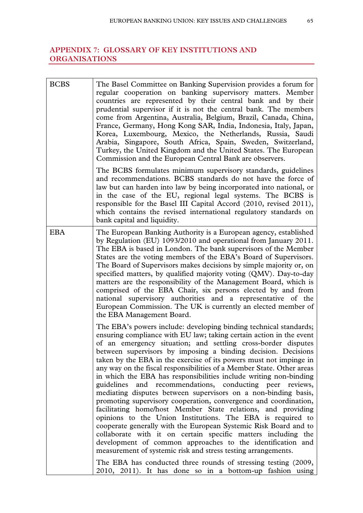# **APPENDIX 7: GLOSSARY OF KEY INSTITUTIONS AND ORGANISATIONS**

| <b>BCBS</b> | The Basel Committee on Banking Supervision provides a forum for<br>regular cooperation on banking supervisory matters. Member<br>countries are represented by their central bank and by their<br>prudential supervisor if it is not the central bank. The members<br>come from Argentina, Australia, Belgium, Brazil, Canada, China,<br>France, Germany, Hong Kong SAR, India, Indonesia, Italy, Japan,<br>Korea, Luxembourg, Mexico, the Netherlands, Russia, Saudi<br>Arabia, Singapore, South Africa, Spain, Sweden, Switzerland,<br>Turkey, the United Kingdom and the United States. The European<br>Commission and the European Central Bank are observers.                                                                                                                                                                                                                                                                                                                                                                                                                                                                                                    |
|-------------|----------------------------------------------------------------------------------------------------------------------------------------------------------------------------------------------------------------------------------------------------------------------------------------------------------------------------------------------------------------------------------------------------------------------------------------------------------------------------------------------------------------------------------------------------------------------------------------------------------------------------------------------------------------------------------------------------------------------------------------------------------------------------------------------------------------------------------------------------------------------------------------------------------------------------------------------------------------------------------------------------------------------------------------------------------------------------------------------------------------------------------------------------------------------|
|             | The BCBS formulates minimum supervisory standards, guidelines<br>and recommendations. BCBS standards do not have the force of<br>law but can harden into law by being incorporated into national, or<br>in the case of the EU, regional legal systems. The BCBS is<br>responsible for the Basel III Capital Accord (2010, revised 2011),<br>which contains the revised international regulatory standards on<br>bank capital and liquidity.                                                                                                                                                                                                                                                                                                                                                                                                                                                                                                                                                                                                                                                                                                                          |
| <b>EBA</b>  | The European Banking Authority is a European agency, established<br>by Regulation (EU) 1093/2010 and operational from January 2011.<br>The EBA is based in London. The bank supervisors of the Member<br>States are the voting members of the EBA's Board of Supervisors.<br>The Board of Supervisors makes decisions by simple majority or, on<br>specified matters, by qualified majority voting (QMV). Day-to-day<br>matters are the responsibility of the Management Board, which is<br>comprised of the EBA Chair, six persons elected by and from<br>national supervisory authorities and a representative of the<br>European Commission. The UK is currently an elected member of<br>the EBA Management Board.                                                                                                                                                                                                                                                                                                                                                                                                                                                |
|             | The EBA's powers include: developing binding technical standards;<br>ensuring compliance with EU law; taking certain action in the event<br>of an emergency situation; and settling cross-border disputes<br>between supervisors by imposing a binding decision. Decisions<br>taken by the EBA in the exercise of its powers must not impinge in<br>any way on the fiscal responsibilities of a Member State. Other areas<br>in which the EBA has responsibilities include writing non-binding<br>guidelines and recommendations, conducting peer reviews,<br>mediating disputes between supervisors on a non-binding basis,<br>promoting supervisory cooperation, convergence and coordination,<br>facilitating home/host Member State relations, and providing<br>opinions to the Union Institutions. The EBA is required to<br>cooperate generally with the European Systemic Risk Board and to<br>collaborate with it on certain specific matters including the<br>development of common approaches to the identification and<br>measurement of systemic risk and stress testing arrangements.<br>The EBA has conducted three rounds of stressing testing (2009, |
|             | 2010, 2011). It has done so in a bottom-up fashion using                                                                                                                                                                                                                                                                                                                                                                                                                                                                                                                                                                                                                                                                                                                                                                                                                                                                                                                                                                                                                                                                                                             |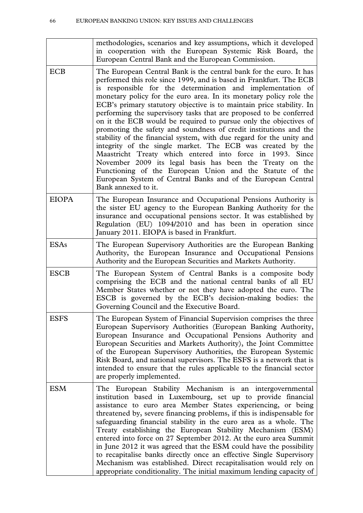|              | methodologies, scenarios and key assumptions, which it developed<br>in cooperation with the European Systemic Risk Board, the<br>European Central Bank and the European Commission.                                                                                                                                                                                                                                                                                                                                                                                                                                                                                                                                                                                                                                                                                                                                                                                                   |
|--------------|---------------------------------------------------------------------------------------------------------------------------------------------------------------------------------------------------------------------------------------------------------------------------------------------------------------------------------------------------------------------------------------------------------------------------------------------------------------------------------------------------------------------------------------------------------------------------------------------------------------------------------------------------------------------------------------------------------------------------------------------------------------------------------------------------------------------------------------------------------------------------------------------------------------------------------------------------------------------------------------|
| <b>ECB</b>   | The European Central Bank is the central bank for the euro. It has<br>performed this role since 1999, and is based in Frankfurt. The ECB<br>is responsible for the determination and implementation of<br>monetary policy for the euro area. In its monetary policy role the<br>ECB's primary statutory objective is to maintain price stability. In<br>performing the supervisory tasks that are proposed to be conferred<br>on it the ECB would be required to pursue only the objectives of<br>promoting the safety and soundness of credit institutions and the<br>stability of the financial system, with due regard for the unity and<br>integrity of the single market. The ECB was created by the<br>Maastricht Treaty which entered into force in 1993. Since<br>November 2009 its legal basis has been the Treaty on the<br>Functioning of the European Union and the Statute of the<br>European System of Central Banks and of the European Central<br>Bank annexed to it. |
| <b>EIOPA</b> | The European Insurance and Occupational Pensions Authority is<br>the sister EU agency to the European Banking Authority for the<br>insurance and occupational pensions sector. It was established by<br>Regulation (EU) 1094/2010 and has been in operation since<br>January 2011. EIOPA is based in Frankfurt.                                                                                                                                                                                                                                                                                                                                                                                                                                                                                                                                                                                                                                                                       |
| <b>ESAs</b>  | The European Supervisory Authorities are the European Banking<br>Authority, the European Insurance and Occupational Pensions<br>Authority and the European Securities and Markets Authority.                                                                                                                                                                                                                                                                                                                                                                                                                                                                                                                                                                                                                                                                                                                                                                                          |
| <b>ESCB</b>  | The European System of Central Banks is a composite body<br>comprising the ECB and the national central banks of all EU<br>Member States whether or not they have adopted the euro. The<br>ESCB is governed by the ECB's decision-making bodies: the<br>Governing Council and the Executive Board.                                                                                                                                                                                                                                                                                                                                                                                                                                                                                                                                                                                                                                                                                    |
| <b>ESFS</b>  | The European System of Financial Supervision comprises the three<br>European Supervisory Authorities (European Banking Authority,<br>European Insurance and Occupational Pensions Authority and<br>European Securities and Markets Authority), the Joint Committee<br>of the European Supervisory Authorities, the European Systemic<br>Risk Board, and national supervisors. The ESFS is a network that is<br>intended to ensure that the rules applicable to the financial sector<br>are properly implemented.                                                                                                                                                                                                                                                                                                                                                                                                                                                                      |
| <b>ESM</b>   | The European Stability Mechanism is an intergovernmental<br>institution based in Luxembourg, set up to provide financial<br>assistance to euro area Member States experiencing, or being<br>threatened by, severe financing problems, if this is indispensable for<br>safeguarding financial stability in the euro area as a whole. The<br>Treaty establishing the European Stability Mechanism (ESM)<br>entered into force on 27 September 2012. At the euro area Summit<br>in June 2012 it was agreed that the ESM could have the possibility<br>to recapitalise banks directly once an effective Single Supervisory<br>Mechanism was established. Direct recapitalisation would rely on<br>appropriate conditionality. The initial maximum lending capacity of                                                                                                                                                                                                                     |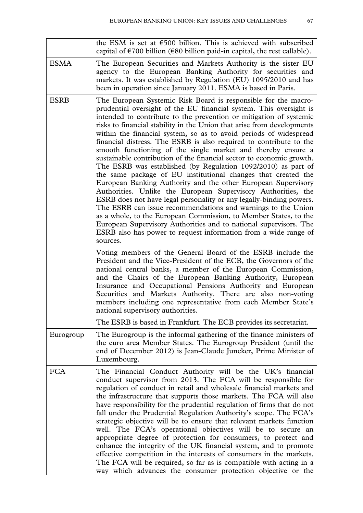|             | the ESM is set at $€500$ billion. This is achieved with subscribed<br>capital of $\epsilon$ 700 billion ( $\epsilon$ 80 billion paid-in capital, the rest callable).                                                                                                                                                                                                                                                                                                                                                                                                                                                                                                                                                                                                                                                                                                                                                                                                                                                                                                                                                                                                                                       |
|-------------|------------------------------------------------------------------------------------------------------------------------------------------------------------------------------------------------------------------------------------------------------------------------------------------------------------------------------------------------------------------------------------------------------------------------------------------------------------------------------------------------------------------------------------------------------------------------------------------------------------------------------------------------------------------------------------------------------------------------------------------------------------------------------------------------------------------------------------------------------------------------------------------------------------------------------------------------------------------------------------------------------------------------------------------------------------------------------------------------------------------------------------------------------------------------------------------------------------|
| <b>ESMA</b> | The European Securities and Markets Authority is the sister EU<br>agency to the European Banking Authority for securities and<br>markets. It was established by Regulation (EU) 1095/2010 and has<br>been in operation since January 2011. ESMA is based in Paris.                                                                                                                                                                                                                                                                                                                                                                                                                                                                                                                                                                                                                                                                                                                                                                                                                                                                                                                                         |
| <b>ESRB</b> | The European Systemic Risk Board is responsible for the macro-<br>prudential oversight of the EU financial system. This oversight is<br>intended to contribute to the prevention or mitigation of systemic<br>risks to financial stability in the Union that arise from developments<br>within the financial system, so as to avoid periods of widespread<br>financial distress. The ESRB is also required to contribute to the<br>smooth functioning of the single market and thereby ensure a<br>sustainable contribution of the financial sector to economic growth.<br>The ESRB was established (by Regulation 1092/2010) as part of<br>the same package of EU institutional changes that created the<br>European Banking Authority and the other European Supervisory<br>Authorities. Unlike the European Supervisory Authorities, the<br>ESRB does not have legal personality or any legally-binding powers.<br>The ESRB can issue recommendations and warnings to the Union<br>as a whole, to the European Commission, to Member States, to the<br>European Supervisory Authorities and to national supervisors. The<br>ESRB also has power to request information from a wide range of<br>sources. |
|             | Voting members of the General Board of the ESRB include the<br>President and the Vice-President of the ECB, the Governors of the<br>national central banks, a member of the European Commission,<br>and the Chairs of the European Banking Authority, European<br>Insurance and Occupational Pensions Authority and European<br>Securities and Markets Authority. There are also non-voting<br>members including one representative from each Member State's<br>national supervisory authorities.                                                                                                                                                                                                                                                                                                                                                                                                                                                                                                                                                                                                                                                                                                          |
|             | The ESRB is based in Frankfurt. The ECB provides its secretariat.                                                                                                                                                                                                                                                                                                                                                                                                                                                                                                                                                                                                                                                                                                                                                                                                                                                                                                                                                                                                                                                                                                                                          |
| Eurogroup   | The Eurogroup is the informal gathering of the finance ministers of<br>the euro area Member States. The Eurogroup President (until the<br>end of December 2012) is Jean-Claude Juncker, Prime Minister of<br>Luxembourg.                                                                                                                                                                                                                                                                                                                                                                                                                                                                                                                                                                                                                                                                                                                                                                                                                                                                                                                                                                                   |
| <b>FCA</b>  | The Financial Conduct Authority will be the UK's financial<br>conduct supervisor from 2013. The FCA will be responsible for<br>regulation of conduct in retail and wholesale financial markets and<br>the infrastructure that supports those markets. The FCA will also<br>have responsibility for the prudential regulation of firms that do not<br>fall under the Prudential Regulation Authority's scope. The FCA's<br>strategic objective will be to ensure that relevant markets function<br>well. The FCA's operational objectives will be to secure an<br>appropriate degree of protection for consumers, to protect and<br>enhance the integrity of the UK financial system, and to promote<br>effective competition in the interests of consumers in the markets.<br>The FCA will be required, so far as is compatible with acting in a<br>way which advances the consumer protection objective or the                                                                                                                                                                                                                                                                                            |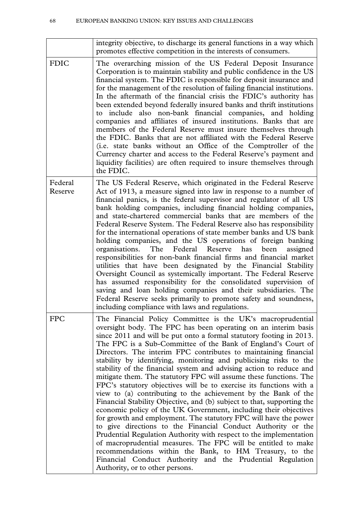|                    | integrity objective, to discharge its general functions in a way which<br>promotes effective competition in the interests of consumers.                                                                                                                                                                                                                                                                                                                                                                                                                                                                                                                                                                                                                                                                                                                                                                                                                                                                                                                                                                                                                                                                                                                                              |
|--------------------|--------------------------------------------------------------------------------------------------------------------------------------------------------------------------------------------------------------------------------------------------------------------------------------------------------------------------------------------------------------------------------------------------------------------------------------------------------------------------------------------------------------------------------------------------------------------------------------------------------------------------------------------------------------------------------------------------------------------------------------------------------------------------------------------------------------------------------------------------------------------------------------------------------------------------------------------------------------------------------------------------------------------------------------------------------------------------------------------------------------------------------------------------------------------------------------------------------------------------------------------------------------------------------------|
| <b>FDIC</b>        | The overarching mission of the US Federal Deposit Insurance<br>Corporation is to maintain stability and public confidence in the US<br>financial system. The FDIC is responsible for deposit insurance and<br>for the management of the resolution of failing financial institutions.<br>In the aftermath of the financial crisis the FDIC's authority has<br>been extended beyond federally insured banks and thrift institutions<br>include also non-bank financial companies, and holding<br>to<br>companies and affiliates of insured institutions. Banks that are<br>members of the Federal Reserve must insure themselves through<br>the FDIC. Banks that are not affiliated with the Federal Reserve<br>(i.e. state banks without an Office of the Comptroller of the<br>Currency charter and access to the Federal Reserve's payment and<br>liquidity facilities) are often required to insure themselves through<br>the FDIC.                                                                                                                                                                                                                                                                                                                                               |
| Federal<br>Reserve | The US Federal Reserve, which originated in the Federal Reserve<br>Act of 1913, a measure signed into law in response to a number of<br>financial panics, is the federal supervisor and regulator of all US<br>bank holding companies, including financial holding companies,<br>and state-chartered commercial banks that are members of the<br>Federal Reserve System. The Federal Reserve also has responsibility<br>for the international operations of state member banks and US bank<br>holding companies, and the US operations of foreign banking<br>The<br>Federal Reserve<br>organisations.<br>has<br>been<br>assigned<br>responsibilities for non-bank financial firms and financial market<br>utilities that have been designated by the Financial Stability<br>Oversight Council as systemically important. The Federal Reserve<br>has assumed responsibility for the consolidated supervision of<br>saving and loan holding companies and their subsidiaries. The<br>Federal Reserve seeks primarily to promote safety and soundness,<br>including compliance with laws and regulations.                                                                                                                                                                               |
| <b>FPC</b>         | The Financial Policy Committee is the UK's macroprudential<br>oversight body. The FPC has been operating on an interim basis<br>since 2011 and will be put onto a formal statutory footing in 2013.<br>The FPC is a Sub-Committee of the Bank of England's Court of<br>Directors. The interim FPC contributes to maintaining financial<br>stability by identifying, monitoring and publicising risks to the<br>stability of the financial system and advising action to reduce and<br>mitigate them. The statutory FPC will assume these functions. The<br>FPC's statutory objectives will be to exercise its functions with a<br>view to (a) contributing to the achievement by the Bank of the<br>Financial Stability Objective, and (b) subject to that, supporting the<br>economic policy of the UK Government, including their objectives<br>for growth and employment. The statutory FPC will have the power<br>to give directions to the Financial Conduct Authority or the<br>Prudential Regulation Authority with respect to the implementation<br>of macroprudential measures. The FPC will be entitled to make<br>recommendations within the Bank, to HM Treasury, to the<br>Financial Conduct Authority and the Prudential Regulation<br>Authority, or to other persons. |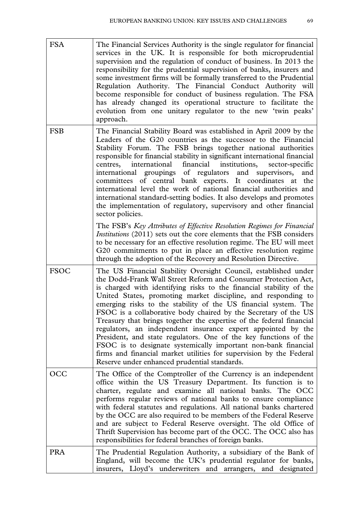| <b>FSA</b>  | The Financial Services Authority is the single regulator for financial<br>services in the UK. It is responsible for both microprudential<br>supervision and the regulation of conduct of business. In 2013 the<br>responsibility for the prudential supervision of banks, insurers and<br>some investment firms will be formally transferred to the Prudential<br>Regulation Authority. The Financial Conduct Authority will<br>become responsible for conduct of business regulation. The FSA<br>has already changed its operational structure to facilitate the<br>evolution from one unitary regulator to the new 'twin peaks'<br>approach.                                                                                                                                                                       |
|-------------|----------------------------------------------------------------------------------------------------------------------------------------------------------------------------------------------------------------------------------------------------------------------------------------------------------------------------------------------------------------------------------------------------------------------------------------------------------------------------------------------------------------------------------------------------------------------------------------------------------------------------------------------------------------------------------------------------------------------------------------------------------------------------------------------------------------------|
| <b>FSB</b>  | The Financial Stability Board was established in April 2009 by the<br>Leaders of the G20 countries as the successor to the Financial<br>Stability Forum. The FSB brings together national authorities<br>responsible for financial stability in significant international financial<br>financial<br>international<br>institutions,<br>centres,<br>sector-specific<br>international groupings of regulators and supervisors,<br>and<br>committees of central bank experts. It coordinates at the<br>international level the work of national financial authorities and<br>international standard-setting bodies. It also develops and promotes<br>the implementation of regulatory, supervisory and other financial<br>sector policies.                                                                               |
|             | The FSB's Key Attributes of Effective Resolution Regimes for Financial<br><i>Institutions</i> (2011) sets out the core elements that the FSB considers<br>to be necessary for an effective resolution regime. The EU will meet<br>G20 commitments to put in place an effective resolution regime<br>through the adoption of the Recovery and Resolution Directive.                                                                                                                                                                                                                                                                                                                                                                                                                                                   |
| <b>FSOC</b> | The US Financial Stability Oversight Council, established under<br>the Dodd-Frank Wall Street Reform and Consumer Protection Act,<br>is charged with identifying risks to the financial stability of the<br>United States, promoting market discipline, and responding to<br>emerging risks to the stability of the US financial system. The<br>FSOC is a collaborative body chaired by the Secretary of the US<br>Treasury that brings together the expertise of the federal financial<br>regulators, an independent insurance expert appointed by the<br>President, and state regulators. One of the key functions of the<br>FSOC is to designate systemically important non-bank financial<br>firms and financial market utilities for supervision by the Federal<br>Reserve under enhanced prudential standards. |
| <b>OCC</b>  | The Office of the Comptroller of the Currency is an independent<br>office within the US Treasury Department. Its function is to<br>charter, regulate and examine all national banks. The OCC<br>performs regular reviews of national banks to ensure compliance<br>with federal statutes and regulations. All national banks chartered<br>by the OCC are also required to be members of the Federal Reserve<br>and are subject to Federal Reserve oversight. The old Office of<br>Thrift Supervision has become part of the OCC. The OCC also has<br>responsibilities for federal branches of foreign banks.                                                                                                                                                                                                         |
| <b>PRA</b>  | The Prudential Regulation Authority, a subsidiary of the Bank of<br>England, will become the UK's prudential regulator for banks,<br>insurers, Lloyd's underwriters and arrangers, and designated                                                                                                                                                                                                                                                                                                                                                                                                                                                                                                                                                                                                                    |